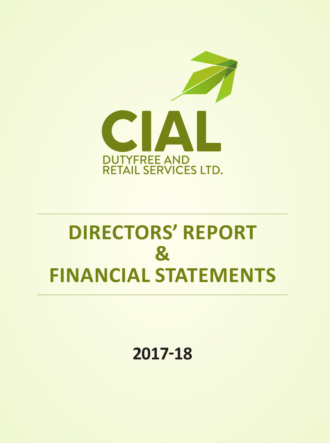

# **DIRECTORS' REPORT & FINANCIAL STATEMENTS**

**2017-18**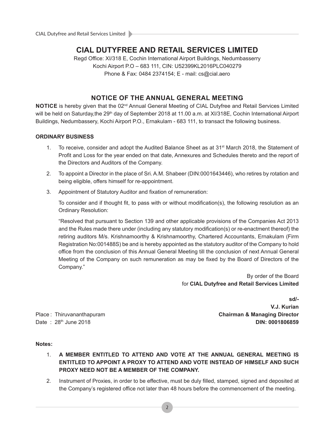## **CIAL DUTYFREE AND RETAIL SERVICES LIMITED**

Regd Office: XI/318 E, Cochin International Airport Buildings, Nedumbasserry Kochi Airport P.O – 683 111, CIN: U52399KL2016PLC040279 Phone & Fax: 0484 2374154; E - mail: cs@cial.aero

## **NOTICE OF THE ANNUAL GENERAL MEETING**

**NOTICE** is hereby given that the 02<sup>nd</sup> Annual General Meeting of CIAL Dutyfree and Retail Services Limited will be held on Saturday, the 29<sup>th</sup> day of September 2018 at 11.00 a.m. at XI/318E, Cochin International Airport Buildings, Nedumbassery, Kochi Airport P.O., Ernakulam - 683 111, to transact the following business.

## **ORDINARY BUSINESS**

- 1. To receive, consider and adopt the Audited Balance Sheet as at 31<sup>st</sup> March 2018, the Statement of Profit and Loss for the year ended on that date, Annexures and Schedules thereto and the report of the Directors and Auditors of the Company.
- 2. To appoint a Director in the place of Sri. A.M. Shabeer (DIN:0001643446), who retires by rotation and being eligible, offers himself for re-appointment.
- 3. Appointment of Statutory Auditor and fixation of remuneration:

To consider and if thought fit, to pass with or without modification(s), the following resolution as an Ordinary Resolution:

"Resolved that pursuant to Section 139 and other applicable provisions of the Companies Act 2013 and the Rules made there under (including any statutory modification(s) or re-enactment thereof) the retiring auditors M/s. Krishnamoorthy & Krishnamoorthy, Chartered Accountants, Ernakulam (Firm Registration No:001488S) be and is hereby appointed as the statutory auditor of the Company to hold office from the conclusion of this Annual General Meeting till the conclusion of next Annual General Meeting of the Company on such remuneration as may be fixed by the Board of Directors of the Company."

> By order of the Board for **CIAL Dutyfree and Retail Services Limited**

Place : Thiruvananthapuram Date: 28<sup>th</sup> June 2018

**sd/- V.J. Kurian Chairman & Managing Director DIN: 0001806859**

## **Notes:**

- 1. **A MEMBER ENTITLED TO ATTEND AND VOTE AT THE ANNUAL GENERAL MEETING IS ENTITLED TO APPOINT A PROXY TO ATTEND AND VOTE INSTEAD OF HIMSELF AND SUCH PROXY NEED NOT BE A MEMBER OF THE COMPANY.**
- 2. Instrument of Proxies, in order to be effective, must be duly filled, stamped, signed and deposited at the Company's registered office not later than 48 hours before the commencement of the meeting.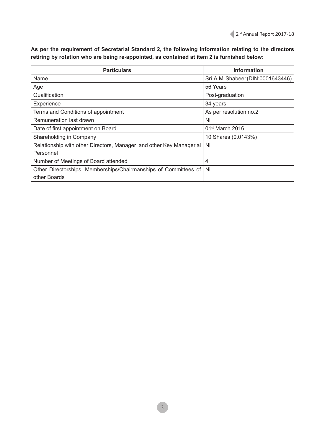| <b>Particulars</b>                                                  | <b>Information</b>                |
|---------------------------------------------------------------------|-----------------------------------|
| Name                                                                | Sri.A.M. Shabeer (DIN:0001643446) |
| Age                                                                 | 56 Years                          |
| Qualification                                                       | Post-graduation                   |
| Experience                                                          | 34 years                          |
| Terms and Conditions of appointment                                 | As per resolution no.2            |
| Remuneration last drawn                                             | Nil                               |
| Date of first appointment on Board                                  | $01st$ March 2016                 |
| Shareholding in Company                                             | 10 Shares (0.0143%)               |
| Relationship with other Directors, Manager and other Key Managerial | Nil                               |
| Personnel                                                           |                                   |
| Number of Meetings of Board attended                                | 4                                 |
| Other Directorships, Memberships/Chairmanships of Committees of     | Nil                               |
| other Boards                                                        |                                   |

**As per the requirement of Secretarial Standard 2, the following information relating to the directors retiring by rotation who are being re-appointed, as contained at item 2 is furnished below:**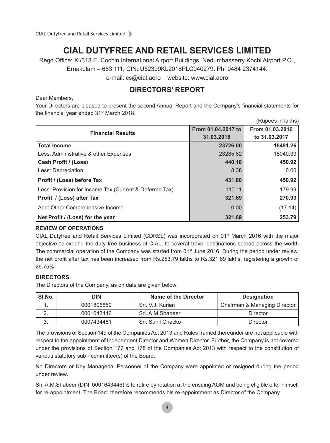## **CIAL DUTYFREE AND RETAIL SERVICES LIMITED**

Regd Office: XI/318 E, Cochin International Airport Buildings, Nedumbasserry Kochi Airport P.O.,

Ernakulam – 683 111, CIN: U52399KL2016PLC040279. Ph: 0484 2374144.

e-mail: cs@cial.aero website: www.cial.aero

## **DIRECTORS' REPORT**

Dear Members,

Your Directors are pleased to present the second Annual Report and the Company's financial statements for the financial year ended 31<sup>st</sup> March 2018.

|                                                         |                    | (Rupees in lakhs) |
|---------------------------------------------------------|--------------------|-------------------|
| <b>Financial Results</b>                                | From 01.04.2017 to | From 01.03.2016   |
|                                                         | 31.03.2018         | to 31.03.2017     |
| <b>Total Income</b>                                     | 23726.00           | 18491.26          |
| Less: Administrative & other Expenses                   | 23285.82           | 18040.33          |
| <b>Cash Profit / (Loss)</b>                             | 440.18             | 450.92            |
| Less: Depreciation                                      | 8.38               | 0.00              |
| Profit / (Loss) before Tax                              | 431.80             | 450.92            |
| Less: Provision for Income Tax (Current & Deferred Tax) | 110.11             | 179.99            |
| Profit / (Loss) after Tax                               | 321.69             | 270.93            |
| Add: Other Comprehensive Income                         | 0.00               | (17.14)           |
| Net Profit / (Loss) for the year                        | 321.69             | 253.79            |

## **REVIEW OF OPERATIONS**

CIAL Dutyfree and Retail Services Limited (CDRSL) was incorporated on  $01<sup>st</sup>$  March 2016 with the major objective to expand the duty free business of CIAL, to several travel destinations spread across the world. The commercial operation of the Company was started from 01<sup>st</sup> June 2016. During the period under review, the net profit after tax has been increased from Rs.253.79 lakhs to Rs.321.69 lakhs, registering a growth of 26.75%.

## **DIRECTORS**

The Directors of the Company, as on date are given below:

| SI.No.   | DIN        | Name of the Director | <b>Designation</b>           |  |
|----------|------------|----------------------|------------------------------|--|
| . .      | 0001806859 | Sri, V.J. Kurian     | Chairman & Managing Director |  |
| <u>.</u> | 0001643446 | . Sri. A.M.Shabeer   | Director                     |  |
| ົ<br>J.  | 0007434481 | Sri, Sunil Chacko    | Director                     |  |

The provisions of Section 149 of the Companies Act 2013 and Rules framed thereunder are not applicable with respect to the appointment of Independent Director and Women Director. Further, the Company is not covered under the provisions of Section 177 and 178 of the Companies Act 2013 with respect to the constitution of various statutory sub - committee(s) of the Board.

No Directors or Key Managerial Personnel of the Company were appointed or resigned during the period under review.

Sri. A.M.Shabeer (DIN: 0001643446) is to retire by rotation at the ensuing AGM and being eligible offer himself for re-appointment. The Board therefore recommends his re-appointment as Director of the Company.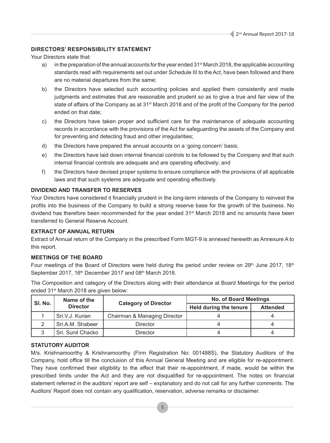## **DIRECTORS' RESPONSIBILITY STATEMENT**

Your Directors state that:

- a) in the preparation of the annual accounts for the year ended  $31<sup>st</sup>$  March 2018, the applicable accounting standards read with requirements set out under Schedule III to the Act, have been followed and there are no material departures from the same;
- b) the Directors have selected such accounting policies and applied them consistently and made judgments and estimates that are reasonable and prudent so as to give a true and fair view of the state of affairs of the Company as at 31<sup>st</sup> March 2018 and of the profit of the Company for the period ended on that date;
- c) the Directors have taken proper and sufficient care for the maintenance of adequate accounting records in accordance with the provisions of the Act for safeguarding the assets of the Company and for preventing and detecting fraud and other irregularities;
- d) the Directors have prepared the annual accounts on a 'going concern' basis;
- e) the Directors have laid down internal financial controls to be followed by the Company and that such internal financial controls are adequate and are operating effectively; and
- f) the Directors have devised proper systems to ensure compliance with the provisions of all applicable laws and that such systems are adequate and operating effectively.

## **DIVIDEND AND TRANSFER TO RESERVES**

Your Directors have considered it financially prudent in the long-term interests of the Company to reinvest the profits into the business of the Company to build a strong reserve base for the growth of the business. No dividend has therefore been recommended for the year ended 31st March 2018 and no amounts have been transferred to General Reserve Account.

## **EXTRACT OF ANNUAL RETURN**

Extract of Annual return of the Company in the prescribed Form MGT-9 is annexed herewith as Annexure A to this report.

## **MEETINGS OF THE BOARD**

Four meetings of the Board of Directors were held during the period under review on 29<sup>th</sup> June 2017, 18<sup>th</sup> September 2017, 16<sup>th</sup> December 2017 and 08<sup>th</sup> March 2018.

The Composition and category of the Directors along with their attendance at Board Meetings for the period ended 31st March 2018 are given below:

| SI. No. | Name of the       |                              | <b>No. of Board Meetings</b>  |                 |  |
|---------|-------------------|------------------------------|-------------------------------|-----------------|--|
|         | <b>Director</b>   | <b>Category of Director</b>  | <b>Held during the tenure</b> | <b>Attended</b> |  |
|         | Sri.V.J. Kurian   | Chairman & Managing Director |                               |                 |  |
|         | Sri.A.M. Shabeer  | <b>Director</b>              |                               |                 |  |
|         | Sri. Sunil Chacko | <b>Director</b>              |                               |                 |  |

## **STATUTORY AUDITOR**

M/s. Krishnamoorthy & Krishnamoorthy (Firm Registration No: 001488S), the Statutory Auditors of the Company, hold office till the conclusion of this Annual General Meeting and are eligible for re-appointment. They have confirmed their eligibility to the effect that their re-appointment, if made, would be within the prescribed limits under the Act and they are not disqualified for re-appointment. The notes on financial statement referred in the auditors' report are self – explanatory and do not call for any further comments. The Auditors' Report does not contain any qualification, reservation, adverse remarks or disclaimer.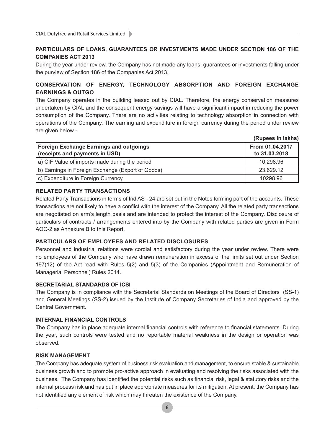## **PARTICULARS OF LOANS, GUARANTEES OR INVESTMENTS MADE UNDER SECTION 186 OF THE COMPANIES ACT 2013**

During the year under review, the Company has not made any loans, guarantees or investments falling under the purview of Section 186 of the Companies Act 2013.

## **CONSERVATION OF ENERGY, TECHNOLOGY ABSORPTION AND FOREIGN EXCHANGE EARNINGS & OUTGO**

The Company operates in the building leased out by CIAL. Therefore, the energy conservation measures undertaken by CIAL and the consequent energy savings will have a significant impact in reducing the power consumption of the Company. There are no activities relating to technology absorption in connection with operations of the Company. The earning and expenditure in foreign currency during the period under review are given below -

|                                                                                  | (Rupees in lakhs)                |
|----------------------------------------------------------------------------------|----------------------------------|
| <b>Foreign Exchange Earnings and outgoings</b><br>(receipts and payments in USD) | From 01.04.2017<br>to 31.03.2018 |
| a) CIF Value of imports made during the period                                   | 10,298.96                        |
| b) Earnings in Foreign Exchange (Export of Goods)                                | 23,629.12                        |
| c) Expenditure in Foreign Currency                                               | 10298.96                         |

## **RELATED PARTY TRANSACTIONS**

Related Party Transactions in terms of Ind AS - 24 are set out in the Notes forming part of the accounts. These transactions are not likely to have a conflict with the interest of the Company. All the related party transactions are negotiated on arm's length basis and are intended to protect the interest of the Company. Disclosure of particulars of contracts / arrangements entered into by the Company with related parties are given in Form AOC-2 as Annexure B to this Report.

## **PARTICULARS OF EMPLOYEES AND RELATED DISCLOSURES**

Personnel and industrial relations were cordial and satisfactory during the year under review. There were no employees of the Company who have drawn remuneration in excess of the limits set out under Section 197(12) of the Act read with Rules 5(2) and 5(3) of the Companies (Appointment and Remuneration of Managerial Personnel) Rules 2014.

## **SECRETARIAL STANDARDS OF ICSI**

The Company is in compliance with the Secretarial Standards on Meetings of the Board of Directors (SS-1) and General Meetings (SS-2) issued by the Institute of Company Secretaries of India and approved by the Central Government.

## **INTERNAL FINANCIAL CONTROLS**

The Company has in place adequate internal financial controls with reference to financial statements. During the year, such controls were tested and no reportable material weakness in the design or operation was observed.

## **RISK MANAGEMENT**

The Company has adequate system of business risk evaluation and management, to ensure stable & sustainable business growth and to promote pro-active approach in evaluating and resolving the risks associated with the business. The Company has identified the potential risks such as financial risk, legal & statutory risks and the internal process risk and has put in place appropriate measures for its mitigation. At present, the Company has not identified any element of risk which may threaten the existence of the Company.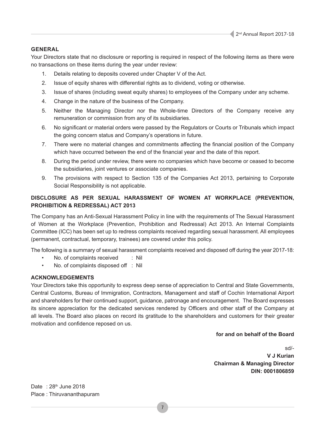## **GENERAL**

Your Directors state that no disclosure or reporting is required in respect of the following items as there were no transactions on these items during the year under review:

- 1. Details relating to deposits covered under Chapter V of the Act.
- 2. Issue of equity shares with differential rights as to dividend, voting or otherwise.
- 3. Issue of shares (including sweat equity shares) to employees of the Company under any scheme.
- 4. Change in the nature of the business of the Company.
- 5. Neither the Managing Director nor the Whole-time Directors of the Company receive any remuneration or commission from any of its subsidiaries.
- 6. No significant or material orders were passed by the Regulators or Courts or Tribunals which impact the going concern status and Company's operations in future.
- 7. There were no material changes and commitments affecting the financial position of the Company which have occurred between the end of the financial year and the date of this report.
- 8. During the period under review, there were no companies which have become or ceased to become the subsidiaries, joint ventures or associate companies.
- 9. The provisions with respect to Section 135 of the Companies Act 2013, pertaining to Corporate Social Responsibility is not applicable.

## **DISCLOSURE AS PER SEXUAL HARASSMENT OF WOMEN AT WORKPLACE (PREVENTION, PROHIBITION & REDRESSAL) ACT 2013**

The Company has an Anti-Sexual Harassment Policy in line with the requirements of The Sexual Harassment of Women at the Workplace (Prevention, Prohibition and Redressal) Act 2013. An Internal Complaints Committee (ICC) has been set up to redress complaints received regarding sexual harassment. All employees (permanent, contractual, temporary, trainees) are covered under this policy.

The following is a summary of sexual harassment complaints received and disposed off during the year 2017-18:

- No. of complaints received : Nil
- No. of complaints disposed off : Nil

## **ACKNOWLEDGEMENTS**

Your Directors take this opportunity to express deep sense of appreciation to Central and State Governments, Central Customs, Bureau of Immigration, Contractors, Management and staff of Cochin International Airport and shareholders for their continued support, guidance, patronage and encouragement. The Board expresses its sincere appreciation for the dedicated services rendered by Officers and other staff of the Company at all levels. The Board also places on record its gratitude to the shareholders and customers for their greater motivation and confidence reposed on us.

7

## **for and on behalf of the Board**

sd/- **V J Kurian Chairman & Managing Director DIN: 0001806859**

Date :  $28<sup>th</sup>$  June 2018 Place : Thiruvananthapuram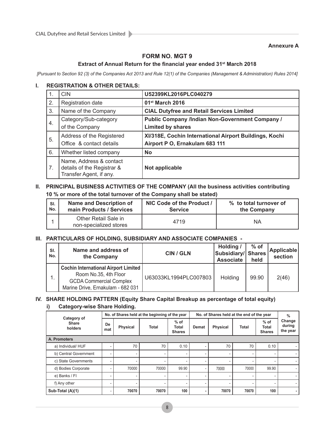## **Annexure A**

## **FORM NO. MGT 9**

## **Extract of Annual Return for the financial year ended 31st March 2018**

*[Pursuant to Section 92 (3) of the Companies Act 2013 and Rule 12(1) of the Companies (Management & Administration) Rules 2014]*

## **I. REGISTRATION & OTHER DETAILS:**

| 1. | <b>CIN</b>                                                                       | U52399KL2016PLC040279                                                                    |
|----|----------------------------------------------------------------------------------|------------------------------------------------------------------------------------------|
| 2. | Registration date                                                                | 01 <sup>st</sup> March 2016                                                              |
| 3. | Name of the Company                                                              | <b>CIAL Dutyfree and Retail Services Limited</b>                                         |
| 4. | Category/Sub-category<br>of the Company                                          | <b>Public Company /Indian Non-Government Company /</b><br><b>Limited by shares</b>       |
| 5. | Address of the Registered<br>Office & contact details                            | XI/318E, Cochin International Airport Buildings, Kochi<br>Airport P O, Ernakulam 683 111 |
| 6. | Whether listed company                                                           | <b>No</b>                                                                                |
| 7. | Name, Address & contact<br>details of the Registrar &<br>Transfer Agent, if any. | Not applicable                                                                           |

## **II. PRINCIPAL BUSINESS ACTIVITIES OF THE COMPANY (All the business activities contributing 10 % or more of the total turnover of the Company shall be stated)**

| SI. | <b>Name and Description of</b>                 | NIC Code of the Product / | % to total turnover of |
|-----|------------------------------------------------|---------------------------|------------------------|
| No. | main Products / Services                       | <b>Service</b>            | the Company            |
|     | Other Retail Sale in<br>non-specialized stores | 4719                      | ΝA                     |

## **III. PARTICULARS OF HOLDING, SUBSIDIARY AND ASSOCIATE COMPANIES -**

| SI.<br>No. | Name and address of<br>the Company                                                                                                          | <b>CIN / GLN</b>      | Holding /<br>Subsidiary/ Shares<br><b>Associate</b> | $%$ of<br>held | <b>Applicable</b><br>section |
|------------|---------------------------------------------------------------------------------------------------------------------------------------------|-----------------------|-----------------------------------------------------|----------------|------------------------------|
|            | <b>Cochin International Airport Limited</b><br>Room No.35, 4th Floor<br><b>GCDA Commercial Complex</b><br>Marine Drive, Ernakulam - 682 031 | U63033KL1994PLC007803 | Holding                                             | 99.90          | 2(46)                        |

## **IV. SHARE HOLDING PATTERN (Equity Share Capital Breakup as percentage of total equity)**

## **i) Category-wise Share Holding.**

|                                        | No. of Shares held at the beginning of the year |                 |       |                                         | No. of Shares held at the end of the year |                 |              |                                         | $\%$                         |
|----------------------------------------|-------------------------------------------------|-----------------|-------|-----------------------------------------|-------------------------------------------|-----------------|--------------|-----------------------------------------|------------------------------|
| Category of<br><b>Share</b><br>holders | De<br>mat                                       | <b>Physical</b> | Total | $%$ of<br><b>Total</b><br><b>Shares</b> | <b>Demat</b>                              | <b>Physical</b> | <b>Total</b> | $%$ of<br><b>Total</b><br><b>Shares</b> | Change<br>during<br>the year |
| A. Promoters                           |                                                 |                 |       |                                         |                                           |                 |              |                                         |                              |
| a) Individual/ HUF                     |                                                 | 70              | 70    | 0.10                                    |                                           | 70              | 70           | 0.10                                    |                              |
| b) Central Government                  | ۰                                               |                 | ٠     | -                                       | ۰                                         | ۰               | ۰            |                                         |                              |
| c) State Governments                   | ۰                                               |                 | ۰     |                                         | ۰                                         | ۰               | ٠            |                                         | ۰                            |
| d) Bodies Corporate                    |                                                 | 70000           | 70000 | 99.90                                   |                                           | 70000           | 70000        | 99.90                                   | ٠                            |
| e) Banks / FI                          | -                                               |                 | -     |                                         | -                                         |                 | -            |                                         | ۰                            |
| f) Any other                           | ٠                                               |                 | -     | -                                       | -                                         | ۰               | -            |                                         |                              |
| Sub-Total (A)(1)                       |                                                 | 70070           | 70070 | 100                                     |                                           | 70070           | 70070        | 100                                     |                              |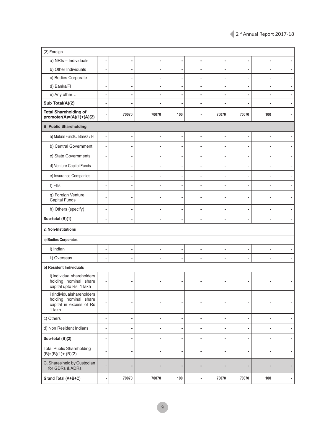| (2) Foreign                                                                             |                          |       |       |     |                          |                |       |     |                          |
|-----------------------------------------------------------------------------------------|--------------------------|-------|-------|-----|--------------------------|----------------|-------|-----|--------------------------|
| a) NRIs - Individuals                                                                   | $\overline{a}$           | ä,    |       |     | ٠                        | ۰              |       |     |                          |
| b) Other Individuals                                                                    |                          |       |       |     |                          |                |       |     |                          |
| c) Bodies Corporate                                                                     |                          |       |       |     |                          |                |       |     |                          |
| d) Banks/FI                                                                             |                          |       |       |     |                          | ÷              |       |     |                          |
| e) Any other                                                                            |                          |       |       |     |                          | ٠              |       |     |                          |
| Sub Total(A)(2)                                                                         |                          |       |       |     |                          |                |       |     |                          |
| <b>Total Shareholding of</b><br>$promoter(A)=(A)(1)+(A)(2)$                             |                          | 70070 | 70070 | 100 |                          | 70070          | 70070 | 100 |                          |
| <b>B. Public Shareholding</b>                                                           |                          |       |       |     |                          |                |       |     |                          |
| a) Mutual Funds / Banks / Fl                                                            |                          |       |       |     |                          | ٠              |       |     |                          |
| b) Central Government                                                                   | L,                       |       |       |     | ٠                        | ۰              |       |     |                          |
| c) State Governments                                                                    |                          |       |       |     |                          | ٠              |       |     |                          |
| d) Venture Capital Funds                                                                | $\overline{a}$           |       |       |     | ۰                        | ٠              |       |     |                          |
| e) Insurance Companies                                                                  |                          |       |       |     |                          | ٠              |       |     |                          |
| f) Flls                                                                                 |                          |       |       |     |                          | ۰              |       |     |                          |
| g) Foreign Venture<br>Capital Funds                                                     |                          |       |       |     |                          |                |       |     |                          |
| h) Others (specify)                                                                     |                          |       |       |     | ۰                        | ٠              |       |     |                          |
| Sub-total (B)(1)                                                                        |                          |       |       |     |                          | ä,             |       |     |                          |
| 2. Non-Institutions                                                                     |                          |       |       |     |                          |                |       |     |                          |
| a) Bodies Corporates                                                                    |                          |       |       |     |                          |                |       |     |                          |
| i) Indian                                                                               |                          |       |       |     |                          |                |       |     |                          |
| ii) Overseas                                                                            |                          |       |       |     |                          | ۰              |       |     |                          |
| b) Resident Individuals                                                                 |                          |       |       |     |                          |                |       |     |                          |
| i) Individual shareholders<br>holding nominal share<br>capital upto Rs. 1 lakh          |                          |       |       |     |                          |                |       |     |                          |
| ii)Individualshareholders<br>holding nominal share<br>capital in excess of Rs<br>1 lakh |                          |       | ٠     |     | ٠                        | ۰              | ٠     |     |                          |
| c) Others                                                                               | $\overline{\phantom{0}}$ | ٠     | ۰     |     | ٠                        | $\blacksquare$ | ٠     |     | ٠                        |
| d) Non Resident Indians                                                                 | $\overline{\phantom{a}}$ | ٠     | ۰     | ٠   | ۰                        | ٠              | ٠     | ٠   | ٠                        |
| Sub-total (B)(2)                                                                        | $\overline{a}$           | ä,    |       |     |                          | ٠              |       |     |                          |
| <b>Total Public Shareholding</b><br>$(B)=(B)(1)+(B)(2)$                                 | $\overline{a}$           | ۰     |       |     | ٠                        | ٠              |       |     |                          |
| C. Shares held by Custodian<br>for GDRs & ADRs                                          |                          |       |       |     | ۰                        | ۰              |       |     |                          |
| Grand Total (A+B+C)                                                                     | $\overline{\phantom{a}}$ | 70070 | 70070 | 100 | $\overline{\phantom{a}}$ | 70070          | 70070 | 100 | $\overline{\phantom{a}}$ |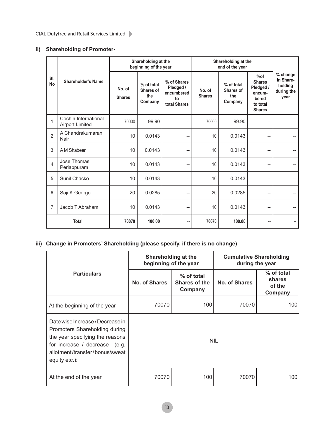## **ii) Shareholding of Promoter-**

|                  |                                                | Shareholding at the<br>beginning of the year |                         |                                           | Shareholding at the<br>end of the year                       |                         |                                           |                                                                                   |                                                        |
|------------------|------------------------------------------------|----------------------------------------------|-------------------------|-------------------------------------------|--------------------------------------------------------------|-------------------------|-------------------------------------------|-----------------------------------------------------------------------------------|--------------------------------------------------------|
| SI.<br><b>No</b> |                                                | <b>Shareholder's Name</b>                    | No. of<br><b>Shares</b> | % of total<br>Shares of<br>the<br>Company | % of Shares<br>Pledged /<br>encumbered<br>to<br>total Shares | No. of<br><b>Shares</b> | % of total<br>Shares of<br>the<br>Company | %of<br><b>Shares</b><br>Pledged /<br>encum-<br>bered<br>to total<br><b>Shares</b> | % change<br>in Share-<br>holding<br>during the<br>year |
| 1                | Cochin International<br><b>Airport Limited</b> | 70000                                        | 99.90                   | --                                        | 70000                                                        | 99.90                   |                                           |                                                                                   |                                                        |
| $\overline{2}$   | A Chandrakumaran<br>Nair                       | 10                                           | 0.0143                  | --                                        | 10                                                           | 0.0143                  | --                                        |                                                                                   |                                                        |
| 3                | A M Shabeer                                    | 10                                           | 0.0143                  | --                                        | 10                                                           | 0.0143                  | --                                        |                                                                                   |                                                        |
| 4                | Jose Thomas<br>Periappuram                     | 10                                           | 0.0143                  | $\overline{\phantom{a}}$                  | 10                                                           | 0.0143                  | --                                        |                                                                                   |                                                        |
| 5                | Sunil Chacko                                   | 10                                           | 0.0143                  | --                                        | 10                                                           | 0.0143                  | --                                        |                                                                                   |                                                        |
| 6                | Saji K George                                  | 20                                           | 0.0285                  | $\overline{\phantom{a}}$                  | 20                                                           | 0.0285                  | $\overline{\phantom{a}}$                  |                                                                                   |                                                        |
| 7                | Jacob T Abraham                                | 10                                           | 0.0143                  | --                                        | 10                                                           | 0.0143                  | --                                        |                                                                                   |                                                        |
|                  | <b>Total</b>                                   | 70070                                        | 100.00                  | -−                                        | 70070                                                        | 100.00                  | ۰.                                        |                                                                                   |                                                        |

## **iii) Change in Promoters' Shareholding (please specify, if there is no change)**

|                                                                                                                                                                                          | Shareholding at the<br>beginning of the year            |            | <b>Cumulative Shareholding</b><br>during the year |                                           |  |
|------------------------------------------------------------------------------------------------------------------------------------------------------------------------------------------|---------------------------------------------------------|------------|---------------------------------------------------|-------------------------------------------|--|
| <b>Particulars</b>                                                                                                                                                                       | % of total<br>No. of Shares<br>Shares of the<br>Company |            | No. of Shares                                     | % of total<br>shares<br>of the<br>Company |  |
| At the beginning of the year                                                                                                                                                             | 70070                                                   | 100        | 100                                               |                                           |  |
| Date wise Increase / Decrease in<br>Promoters Shareholding during<br>the year specifying the reasons<br>for increase / decrease (e.g.<br>allotment/transfer/bonus/sweat<br>equity etc.): |                                                         | <b>NIL</b> |                                                   |                                           |  |
| At the end of the year                                                                                                                                                                   | 70070                                                   | 100        | 70070                                             | 100                                       |  |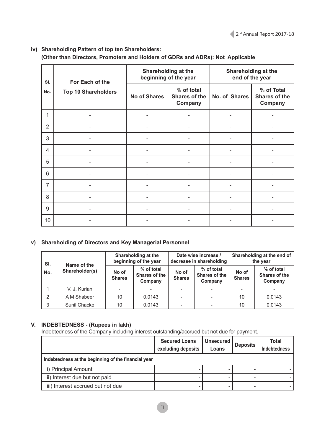## **iv) Shareholding Pattern of top ten Shareholders: (Other than Directors, Promoters and Holders of GDRs and ADRs): Not Applicable**

| SI.                               | For Each of the     |                                        | Shareholding at the<br>beginning of the year | Shareholding at the<br>end of the year |  |
|-----------------------------------|---------------------|----------------------------------------|----------------------------------------------|----------------------------------------|--|
| <b>Top 10 Shareholders</b><br>No. | <b>No of Shares</b> | % of total<br>Shares of the<br>Company | No. of Shares                                | % of Total<br>Shares of the<br>Company |  |
| 1                                 |                     |                                        |                                              |                                        |  |
| $\overline{2}$                    |                     |                                        |                                              |                                        |  |
| 3                                 |                     |                                        |                                              |                                        |  |
| 4                                 |                     |                                        |                                              |                                        |  |
| 5                                 |                     |                                        |                                              |                                        |  |
| 6                                 |                     |                                        |                                              |                                        |  |
| $\overline{7}$                    |                     |                                        |                                              |                                        |  |
| 8                                 |                     |                                        |                                              |                                        |  |
| 9                                 |                     |                                        |                                              |                                        |  |
| 10                                |                     |                                        |                                              |                                        |  |

## **v) Shareholding of Directors and Key Managerial Personnel**

| SI. |                               | Shareholding at the<br>beginning of the year |                                        |                        | Date wise increase /<br>decrease in shareholding | Shareholding at the end of<br>the year |                                        |
|-----|-------------------------------|----------------------------------------------|----------------------------------------|------------------------|--------------------------------------------------|----------------------------------------|----------------------------------------|
| No. | Name of the<br>Shareholder(s) | No of<br><b>Shares</b>                       | % of total<br>Shares of the<br>Company | No of<br><b>Shares</b> | % of total<br>Shares of the<br>Company           | No of<br><b>Shares</b>                 | % of total<br>Shares of the<br>Company |
|     | V. J. Kurian                  |                                              | $\overline{\phantom{a}}$               |                        | $\overline{\phantom{a}}$                         |                                        |                                        |
| 2   | A M Shabeer                   | 10                                           | 0.0143                                 |                        |                                                  | 10                                     | 0.0143                                 |
| 3   | Sunil Chacko                  | 10                                           | 0.0143                                 |                        |                                                  | 10                                     | 0.0143                                 |

## **V. INDEBTEDNESS - (Rupees in lakh)**

Indebtedness of the Company including interest outstanding/accrued but not due for payment.

|                                                     | <b>Secured Loans</b><br>excluding deposits | <b>Unsecured</b><br>Loans | <b>Deposits</b> | Total<br><b>Indebtedness</b> |
|-----------------------------------------------------|--------------------------------------------|---------------------------|-----------------|------------------------------|
| Indebtedness at the beginning of the financial year |                                            |                           |                 |                              |
| i) Principal Amount                                 |                                            |                           |                 |                              |
| ii) Interest due but not paid                       |                                            |                           |                 |                              |
| iii) Interest accrued but not due                   |                                            |                           |                 |                              |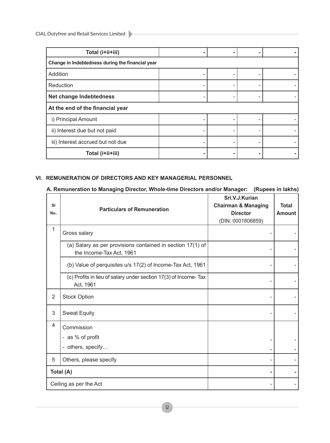CIAL Dutyfree and Retail Services Limited

| Total (i+ii+iii)                                 |  |  |  |  |  |  |
|--------------------------------------------------|--|--|--|--|--|--|
| Change in Indebtedness during the financial year |  |  |  |  |  |  |
| Addition                                         |  |  |  |  |  |  |
| Reduction                                        |  |  |  |  |  |  |
| Net change Indebtedness                          |  |  |  |  |  |  |
| At the end of the financial year                 |  |  |  |  |  |  |
| i) Principal Amount                              |  |  |  |  |  |  |
| ii) Interest due but not paid                    |  |  |  |  |  |  |
| iii) Interest accrued but not due                |  |  |  |  |  |  |
| Total (i+ii+iii)                                 |  |  |  |  |  |  |

## **VI. REMUNERATION OF DIRECTORS AND KEY MANAGERIAL PERSONNEL**

## **A. Remuneration to Managing Director, Whole-time Directors and/or Manager: (Rupees in lakhs)**

| <b>SI</b><br>No. | <b>Particulars of Remuneration</b>                                                     | Sri.V.J.Kurian<br><b>Chairman &amp; Managing</b><br><b>Director</b><br>(DIN: 0001806859) | <b>Total</b><br><b>Amount</b> |
|------------------|----------------------------------------------------------------------------------------|------------------------------------------------------------------------------------------|-------------------------------|
| 1                | Gross salary                                                                           |                                                                                          |                               |
|                  | (a) Salary as per provisions contained in section 17(1) of<br>the Income-Tax Act, 1961 |                                                                                          |                               |
|                  | (b) Value of perquisites u/s 17(2) of Income-Tax Act, 1961                             |                                                                                          |                               |
|                  | (c) Profits in lieu of salary under section 17(3) of Income-Tax<br>Act, 1961           |                                                                                          |                               |
| $\overline{2}$   | <b>Stock Option</b>                                                                    |                                                                                          |                               |
| 3                | <b>Sweat Equity</b>                                                                    |                                                                                          |                               |
| 4                | Commission                                                                             |                                                                                          |                               |
|                  | - as % of profit                                                                       |                                                                                          |                               |
|                  | - others, specify                                                                      |                                                                                          |                               |
| 5                | Others, please specify                                                                 |                                                                                          |                               |
|                  | Total (A)                                                                              |                                                                                          |                               |
|                  | Ceiling as per the Act                                                                 |                                                                                          |                               |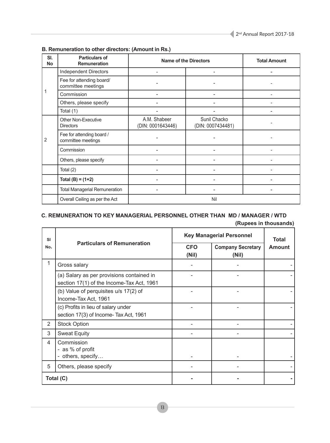| SI.<br><b>No</b> | <b>Particulars of</b><br><b>Remuneration</b>    | <b>Name of the Directors</b>      | <b>Total Amount</b>               |                          |  |  |  |
|------------------|-------------------------------------------------|-----------------------------------|-----------------------------------|--------------------------|--|--|--|
|                  | <b>Independent Directors</b>                    |                                   |                                   |                          |  |  |  |
|                  | Fee for attending board/<br>committee meetings  |                                   |                                   |                          |  |  |  |
| 1                | Commission                                      |                                   |                                   | $\overline{\phantom{a}}$ |  |  |  |
|                  | Others, please specify                          |                                   |                                   |                          |  |  |  |
|                  | Total (1)                                       |                                   |                                   |                          |  |  |  |
|                  | Other Non-Executive<br><b>Directors</b>         | A.M. Shabeer<br>(DIN: 0001643446) | Sunil Chacko<br>(DIN: 0007434481) |                          |  |  |  |
| 2                | Fee for attending board /<br>committee meetings |                                   |                                   |                          |  |  |  |
|                  | Commission                                      | -                                 |                                   |                          |  |  |  |
|                  | Others, please specify                          |                                   |                                   |                          |  |  |  |
|                  | Total (2)                                       |                                   |                                   |                          |  |  |  |
|                  | Total $(B) = (1+2)$                             |                                   |                                   |                          |  |  |  |
|                  | <b>Total Managerial Remuneration</b>            | ۰                                 |                                   | ۰                        |  |  |  |
|                  | Overall Ceiling as per the Act                  | Nil                               |                                   |                          |  |  |  |

## **B. Remuneration to other directors: (Amount in Rs.)**

## **C. REMUNERATION TO KEY MANAGERIAL PERSONNEL OTHER THAN MD / MANAGER / WTD**

| <b>SI</b>      |                                                                                        | <b>Key Managerial Personnel</b> | <b>Total</b>                      |               |
|----------------|----------------------------------------------------------------------------------------|---------------------------------|-----------------------------------|---------------|
| No.            | <b>Particulars of Remuneration</b>                                                     | <b>CFO</b><br>(Nil)             | <b>Company Secretary</b><br>(Nil) | <b>Amount</b> |
| 1              | Gross salary                                                                           |                                 |                                   |               |
|                | (a) Salary as per provisions contained in<br>section 17(1) of the Income-Tax Act, 1961 |                                 |                                   |               |
|                | (b) Value of perquisites u/s 17(2) of<br>Income-Tax Act, 1961                          |                                 |                                   |               |
|                | (c) Profits in lieu of salary under<br>section 17(3) of Income- Tax Act, 1961          |                                 |                                   |               |
| $\overline{2}$ | <b>Stock Option</b>                                                                    |                                 |                                   |               |
| 3              | <b>Sweat Equity</b>                                                                    |                                 |                                   |               |
| 4              | Commission<br>- as % of profit<br>- others, specify                                    |                                 |                                   |               |
| 5              | Others, please specify                                                                 |                                 |                                   |               |
|                | Total (C)                                                                              |                                 |                                   |               |

**(Rupees in thousands)**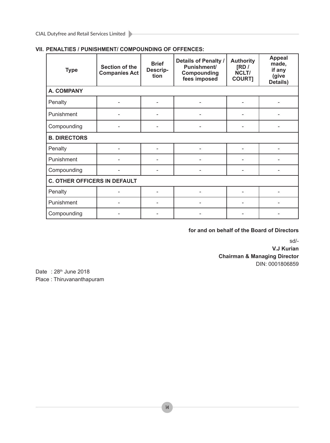| <b>Type</b>                         | <b>Section of the</b><br><b>Companies Act</b> | <b>Brief</b><br>Descrip-<br>tion | Details of Penalty /<br>Punishment/<br>Compounding<br>fees imposed | <b>Authority</b><br>[RD/<br>NCLT/<br><b>COURT]</b> | <b>Appeal</b><br>made,<br>if any<br>(give<br>Details) |  |
|-------------------------------------|-----------------------------------------------|----------------------------------|--------------------------------------------------------------------|----------------------------------------------------|-------------------------------------------------------|--|
| <b>A. COMPANY</b>                   |                                               |                                  |                                                                    |                                                    |                                                       |  |
| Penalty                             |                                               |                                  |                                                                    |                                                    |                                                       |  |
| Punishment                          |                                               |                                  |                                                                    |                                                    |                                                       |  |
| Compounding                         |                                               |                                  |                                                                    |                                                    |                                                       |  |
| <b>B. DIRECTORS</b>                 |                                               |                                  |                                                                    |                                                    |                                                       |  |
| Penalty                             |                                               |                                  |                                                                    |                                                    |                                                       |  |
| Punishment                          |                                               |                                  |                                                                    |                                                    |                                                       |  |
| Compounding                         |                                               |                                  |                                                                    |                                                    |                                                       |  |
| <b>C. OTHER OFFICERS IN DEFAULT</b> |                                               |                                  |                                                                    |                                                    |                                                       |  |
| Penalty                             |                                               |                                  |                                                                    |                                                    |                                                       |  |
| Punishment                          |                                               |                                  |                                                                    |                                                    |                                                       |  |
| Compounding                         |                                               |                                  |                                                                    |                                                    |                                                       |  |

## **VII. PENALTIES / PUNISHMENT/ COMPOUNDING OF OFFENCES:**

## **for and on behalf of the Board of Directors**

sd/-

**V.J Kurian Chairman & Managing Director** DIN: 0001806859

Date : 28<sup>th</sup> June 2018 Place : Thiruvananthapuram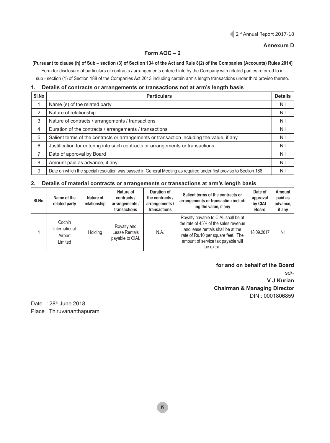## **Annexure D**

## **Form AOC – 2**

## **[Pursuant to clause (h) of Sub – section (3) of Section 134 of the Act and Rule 8(2) of the Companies (Accounts) Rules 2014]**

Form for disclosure of particulars of contracts / arrangements entered into by the Company with related parties referred to in sub - section (1) of Section 188 of the Companies Act 2013 including certain arm's length transactions under third proviso thereto.

## **1. Details of contracts or arrangements or transactions not at arm's length basis**

| SI.No | <b>Particulars</b>                                                                                                | <b>Details</b> |
|-------|-------------------------------------------------------------------------------------------------------------------|----------------|
|       | Name (s) of the related party                                                                                     | Nil            |
| 2     | Nature of relationship                                                                                            | Nil            |
| 3     | Nature of contracts / arrangements / transactions                                                                 | Nil            |
| 4     | Duration of the contracts / arrangements / transactions                                                           | Nil            |
| 5     | Salient terms of the contracts or arrangements or transaction including the value, if any                         | Nil            |
| 6     | Justification for entering into such contracts or arrangements or transactions                                    | Nil            |
| ⇁     | Date of approval by Board                                                                                         | Nil            |
| 8     | Amount paid as advance, if any                                                                                    | Nil            |
| 9     | Date on which the special resolution was passed in General Meeting as required under first proviso to Section 188 | Nil            |

## **2. Details of material contracts or arrangements or transactions at arm's length basis**

| SI.No. | Name of the<br>related party                  | Nature of<br>relationship | Nature of<br>contracts /<br>arrangements /<br>transactions | Duration of<br>the contracts /<br>arrangements /<br>transactions | Salient terms of the contracts or<br>arrangements or transaction includ-<br>ing the value, if any                                                                                                         | Date of<br>approval<br>by CIAL<br><b>Board</b> | <b>Amount</b><br>paid as<br>advance,<br>if any |
|--------|-----------------------------------------------|---------------------------|------------------------------------------------------------|------------------------------------------------------------------|-----------------------------------------------------------------------------------------------------------------------------------------------------------------------------------------------------------|------------------------------------------------|------------------------------------------------|
|        | Cochin<br>International<br>Airport<br>Limited | Holding                   | Royalty and<br>Lease Rentals<br>payable to CIAL            | N.A.                                                             | Royalty payable to CIAL shall be at<br>the rate of 45% of the sales revenue<br>and lease rentals shall be at the<br>rate of Rs.10 per square feet. The<br>amount of service tax payable will<br>be extra. | 18.09.2017                                     | Nil                                            |

## **for and on behalf of the Board**

sd/- **V J Kurian Chairman & Managing Director** DIN : 0001806859

Date : 28<sup>th</sup> June 2018 Place : Thiruvananthapuram

15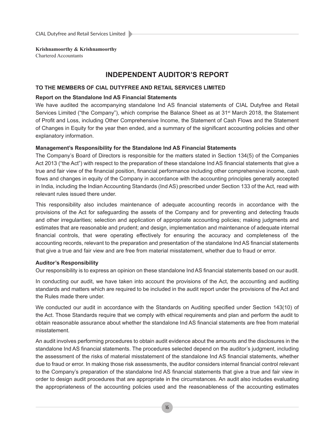Chartered Accountants

## **INDEPENDENT AUDITOR'S REPORT**

## **TO THE MEMBERS OF CIAL DUTYFREE AND RETAIL SERVICES LIMITED**

## **Report on the Standalone Ind AS Financial Statements**

We have audited the accompanying standalone Ind AS financial statements of CIAL Dutyfree and Retail Services Limited ("the Company"), which comprise the Balance Sheet as at 31<sup>st</sup> March 2018, the Statement of Profit and Loss, including Other Comprehensive Income, the Statement of Cash Flows and the Statement of Changes in Equity for the year then ended, and a summary of the significant accounting policies and other explanatory information.

## **Management's Responsibility for the Standalone Ind AS Financial Statements**

The Company's Board of Directors is responsible for the matters stated in Section 134(5) of the Companies Act 2013 ("the Act") with respect to the preparation of these standalone Ind AS financial statements that give a true and fair view of the financial position, financial performance including other comprehensive income, cash flows and changes in equity of the Company in accordance with the accounting principles generally accepted in India, including the Indian Accounting Standards (Ind AS) prescribed under Section 133 of the Act, read with relevant rules issued there under.

This responsibility also includes maintenance of adequate accounting records in accordance with the provisions of the Act for safeguarding the assets of the Company and for preventing and detecting frauds and other irregularities; selection and application of appropriate accounting policies; making judgments and estimates that are reasonable and prudent; and design, implementation and maintenance of adequate internal financial controls, that were operating effectively for ensuring the accuracy and completeness of the accounting records, relevant to the preparation and presentation of the standalone Ind AS financial statements that give a true and fair view and are free from material misstatement, whether due to fraud or error.

## **Auditor's Responsibility**

Our responsibility is to express an opinion on these standalone Ind AS financial statements based on our audit.

In conducting our audit, we have taken into account the provisions of the Act, the accounting and auditing standards and matters which are required to be included in the audit report under the provisions of the Act and the Rules made there under.

We conducted our audit in accordance with the Standards on Auditing specified under Section 143(10) of the Act. Those Standards require that we comply with ethical requirements and plan and perform the audit to obtain reasonable assurance about whether the standalone Ind AS financial statements are free from material misstatement.

An audit involves performing procedures to obtain audit evidence about the amounts and the disclosures in the standalone Ind AS financial statements. The procedures selected depend on the auditor's judgment, including the assessment of the risks of material misstatement of the standalone Ind AS financial statements, whether due to fraud or error. In making those risk assessments, the auditor considers internal financial control relevant to the Company's preparation of the standalone Ind AS financial statements that give a true and fair view in order to design audit procedures that are appropriate in the circumstances. An audit also includes evaluating the appropriateness of the accounting policies used and the reasonableness of the accounting estimates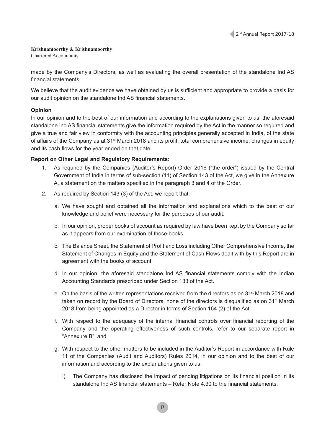Chartered Accountants

made by the Company's Directors, as well as evaluating the overall presentation of the standalone Ind AS financial statements.

We believe that the audit evidence we have obtained by us is sufficient and appropriate to provide a basis for our audit opinion on the standalone Ind AS financial statements.

## **Opinion**

In our opinion and to the best of our information and according to the explanations given to us, the aforesaid standalone Ind AS financial statements give the information required by the Act in the manner so required and give a true and fair view in conformity with the accounting principles generally accepted in India, of the state of affairs of the Company as at 31st March 2018 and its profit, total comprehensive income, changes in equity and its cash flows for the year ended on that date.

## **Report on Other Legal and Regulatory Requirements:**

- 1. As required by the Companies (Auditor's Report) Order 2016 ("the order") issued by the Central Government of India in terms of sub-section (11) of Section 143 of the Act, we give in the Annexure A, a statement on the matters specified in the paragraph 3 and 4 of the Order.
- 2. As required by Section 143 (3) of the Act, we report that:
	- a. We have sought and obtained all the information and explanations which to the best of our knowledge and belief were necessary for the purposes of our audit.
	- b. In our opinion, proper books of account as required by law have been kept by the Company so far as it appears from our examination of those books.
	- c. The Balance Sheet, the Statement of Profit and Loss including Other Comprehensive Income, the Statement of Changes in Equity and the Statement of Cash Flows dealt with by this Report are in agreement with the books of account.
	- d. In our opinion, the aforesaid standalone Ind AS financial statements comply with the Indian Accounting Standards prescribed under Section 133 of the Act.
	- e. On the basis of the written representations received from the directors as on 31<sup>st</sup> March 2018 and taken on record by the Board of Directors, none of the directors is disqualified as on 31st March 2018 from being appointed as a Director in terms of Section 164 (2) of the Act.
	- f. With respect to the adequacy of the internal financial controls over financial reporting of the Company and the operating effectiveness of such controls, refer to our separate report in "Annexure B"; and
	- g. With respect to the other matters to be included in the Auditor's Report in accordance with Rule 11 of the Companies (Audit and Auditors) Rules 2014, in our opinion and to the best of our information and according to the explanations given to us:
		- i) The Company has disclosed the impact of pending litigations on its financial position in its standalone Ind AS financial statements – Refer Note 4.30 to the financial statements.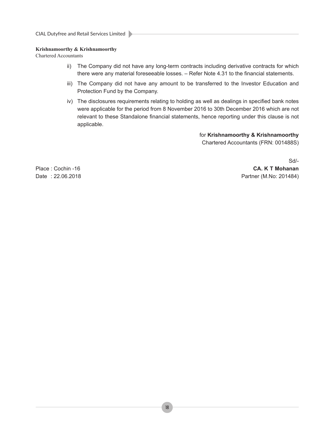Chartered Accountants

- ii) The Company did not have any long-term contracts including derivative contracts for which there were any material foreseeable losses. – Refer Note 4.31 to the financial statements.
- iii) The Company did not have any amount to be transferred to the Investor Education and Protection Fund by the Company.
- iv) The disclosures requirements relating to holding as well as dealings in specified bank notes were applicable for the period from 8 November 2016 to 30th December 2016 which are not relevant to these Standalone financial statements, hence reporting under this clause is not applicable.

for **Krishnamoorthy & Krishnamoorthy**

Chartered Accountants (FRN: 001488S)

Sd/- Place : Cochin -16 **CA. K T Mohanan** Date : 22.06.2018 Partner (M.No: 201484)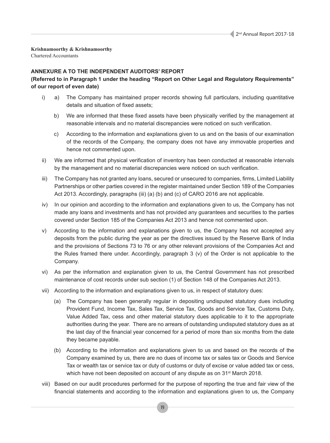Chartered Accountants

## **ANNEXURE A TO THE INDEPENDENT AUDITORS' REPORT**

## **(Referred to in Paragraph 1 under the heading "Report on Other Legal and Regulatory Requirements" of our report of even date)**

- i) a) The Company has maintained proper records showing full particulars, including quantitative details and situation of fixed assets;
	- b) We are informed that these fixed assets have been physically verified by the management at reasonable intervals and no material discrepancies were noticed on such verification.
	- c) According to the information and explanations given to us and on the basis of our examination of the records of the Company, the company does not have any immovable properties and hence not commented upon.
- ii) We are informed that physical verification of inventory has been conducted at reasonable intervals by the management and no material discrepancies were noticed on such verification.
- iii) The Company has not granted any loans, secured or unsecured to companies, firms, Limited Liability Partnerships or other parties covered in the register maintained under Section 189 of the Companies Act 2013. Accordingly, paragraphs (iii) (a) (b) and (c) of CARO 2016 are not applicable.
- iv) In our opinion and according to the information and explanations given to us, the Company has not made any loans and investments and has not provided any guarantees and securities to the parties covered under Section 185 of the Companies Act 2013 and hence not commented upon.
- v) According to the information and explanations given to us, the Company has not accepted any deposits from the public during the year as per the directives issued by the Reserve Bank of India and the provisions of Sections 73 to 76 or any other relevant provisions of the Companies Act and the Rules framed there under. Accordingly, paragraph 3 (v) of the Order is not applicable to the Company.
- vi) As per the information and explanation given to us, the Central Government has not prescribed maintenance of cost records under sub section (1) of Section 148 of the Companies Act 2013.
- vii) According to the information and explanations given to us, in respect of statutory dues:
	- (a) The Company has been generally regular in depositing undisputed statutory dues including Provident Fund, Income Tax, Sales Tax, Service Tax, Goods and Service Tax, Customs Duty, Value Added Tax, cess and other material statutory dues applicable to it to the appropriate authorities during the year. There are no arrears of outstanding undisputed statutory dues as at the last day of the financial year concerned for a period of more than six months from the date they became payable.
	- (b) According to the information and explanations given to us and based on the records of the Company examined by us, there are no dues of income tax or sales tax or Goods and Service Tax or wealth tax or service tax or duty of customs or duty of excise or value added tax or cess, which have not been deposited on account of any dispute as on 31<sup>st</sup> March 2018.
- viii) Based on our audit procedures performed for the purpose of reporting the true and fair view of the financial statements and according to the information and explanations given to us, the Company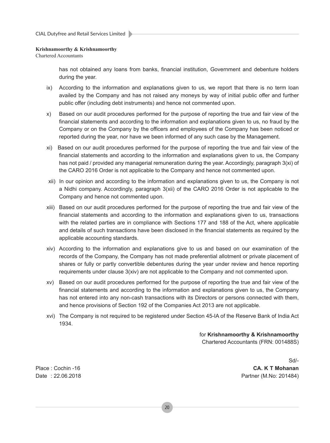Chartered Accountants

has not obtained any loans from banks, financial institution, Government and debenture holders during the year.

- ix) According to the information and explanations given to us, we report that there is no term loan availed by the Company and has not raised any moneys by way of initial public offer and further public offer (including debt instruments) and hence not commented upon.
- x) Based on our audit procedures performed for the purpose of reporting the true and fair view of the financial statements and according to the information and explanations given to us, no fraud by the Company or on the Company by the officers and employees of the Company has been noticed or reported during the year, nor have we been informed of any such case by the Management.
- xi) Based on our audit procedures performed for the purpose of reporting the true and fair view of the financial statements and according to the information and explanations given to us, the Company has not paid / provided any managerial remuneration during the year. Accordingly, paragraph 3(xi) of the CARO 2016 Order is not applicable to the Company and hence not commented upon.
- xii) In our opinion and according to the information and explanations given to us, the Company is not a Nidhi company. Accordingly, paragraph 3(xii) of the CARO 2016 Order is not applicable to the Company and hence not commented upon.
- xiii) Based on our audit procedures performed for the purpose of reporting the true and fair view of the financial statements and according to the information and explanations given to us, transactions with the related parties are in compliance with Sections 177 and 188 of the Act, where applicable and details of such transactions have been disclosed in the financial statements as required by the applicable accounting standards.
- xiv) According to the information and explanations give to us and based on our examination of the records of the Company, the Company has not made preferential allotment or private placement of shares or fully or partly convertible debentures during the year under review and hence reporting requirements under clause 3(xiv) are not applicable to the Company and not commented upon.
- xv) Based on our audit procedures performed for the purpose of reporting the true and fair view of the financial statements and according to the information and explanations given to us, the Company has not entered into any non-cash transactions with its Directors or persons connected with them, and hence provisions of Section 192 of the Companies Act 2013 are not applicable.
- xvi) The Company is not required to be registered under Section 45-IA of the Reserve Bank of India Act 1934.

for **Krishnamoorthy & Krishnamoorthy** Chartered Accountants (FRN: 001488S)

Sd/- Place : Cochin -16 **CA. K T Mohanan** Date : 22.06.2018 Partner (M.No: 201484)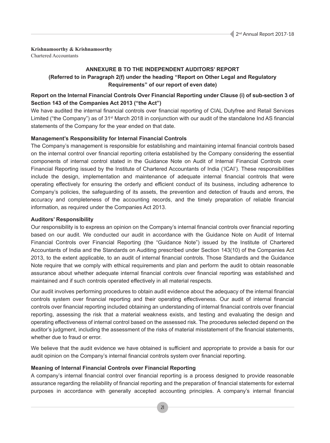Chartered Accountants

## **ANNEXURE B TO THE INDEPENDENT AUDITORS' REPORT**

## **(Referred to in Paragraph 2(f) under the heading "Report on Other Legal and Regulatory Requirements" of our report of even date)**

## **Report on the Internal Financial Controls Over Financial Reporting under Clause (i) of sub-section 3 of Section 143 of the Companies Act 2013 ("the Act")**

We have audited the internal financial controls over financial reporting of CIAL Dutyfree and Retail Services Limited ("the Company") as of 31<sup>st</sup> March 2018 in conjunction with our audit of the standalone Ind AS financial statements of the Company for the year ended on that date.

## **Management's Responsibility for Internal Financial Controls**

The Company's management is responsible for establishing and maintaining internal financial controls based on the internal control over financial reporting criteria established by the Company considering the essential components of internal control stated in the Guidance Note on Audit of Internal Financial Controls over Financial Reporting issued by the Institute of Chartered Accountants of India ('ICAI'). These responsibilities include the design, implementation and maintenance of adequate internal financial controls that were operating effectively for ensuring the orderly and efficient conduct of its business, including adherence to Company's policies, the safeguarding of its assets, the prevention and detection of frauds and errors, the accuracy and completeness of the accounting records, and the timely preparation of reliable financial information, as required under the Companies Act 2013.

## **Auditors' Responsibility**

Our responsibility is to express an opinion on the Company's internal financial controls over financial reporting based on our audit. We conducted our audit in accordance with the Guidance Note on Audit of Internal Financial Controls over Financial Reporting (the "Guidance Note") issued by the Institute of Chartered Accountants of India and the Standards on Auditing prescribed under Section 143(10) of the Companies Act 2013, to the extent applicable, to an audit of internal financial controls. Those Standards and the Guidance Note require that we comply with ethical requirements and plan and perform the audit to obtain reasonable assurance about whether adequate internal financial controls over financial reporting was established and maintained and if such controls operated effectively in all material respects.

Our audit involves performing procedures to obtain audit evidence about the adequacy of the internal financial controls system over financial reporting and their operating effectiveness. Our audit of internal financial controls over financial reporting included obtaining an understanding of internal financial controls over financial reporting, assessing the risk that a material weakness exists, and testing and evaluating the design and operating effectiveness of internal control based on the assessed risk. The procedures selected depend on the auditor's judgment, including the assessment of the risks of material misstatement of the financial statements, whether due to fraud or error.

We believe that the audit evidence we have obtained is sufficient and appropriate to provide a basis for our audit opinion on the Company's internal financial controls system over financial reporting.

## **Meaning of Internal Financial Controls over Financial Reporting**

A company's internal financial control over financial reporting is a process designed to provide reasonable assurance regarding the reliability of financial reporting and the preparation of financial statements for external purposes in accordance with generally accepted accounting principles. A company's internal financial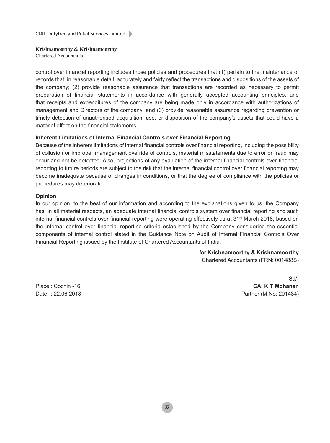CIAL Dutyfree and Retail Services Limited

## **Krishnamoorthy & Krishnamoorthy**

Chartered Accountants

control over financial reporting includes those policies and procedures that (1) pertain to the maintenance of records that, in reasonable detail, accurately and fairly reflect the transactions and dispositions of the assets of the company; (2) provide reasonable assurance that transactions are recorded as necessary to permit preparation of financial statements in accordance with generally accepted accounting principles, and that receipts and expenditures of the company are being made only in accordance with authorizations of management and Directors of the company; and (3) provide reasonable assurance regarding prevention or timely detection of unauthorised acquisition, use, or disposition of the company's assets that could have a material effect on the financial statements.

## **Inherent Limitations of Internal Financial Controls over Financial Reporting**

Because of the inherent limitations of internal financial controls over financial reporting, including the possibility of collusion or improper management override of controls, material misstatements due to error or fraud may occur and not be detected. Also, projections of any evaluation of the internal financial controls over financial reporting to future periods are subject to the risk that the internal financial control over financial reporting may become inadequate because of changes in conditions, or that the degree of compliance with the policies or procedures may deteriorate.

## **Opinion**

In our opinion, to the best of our information and according to the explanations given to us, the Company has, in all material respects, an adequate internal financial controls system over financial reporting and such internal financial controls over financial reporting were operating effectively as at 31<sup>st</sup> March 2018, based on the internal control over financial reporting criteria established by the Company considering the essential components of internal control stated in the Guidance Note on Audit of Internal Financial Controls Over Financial Reporting issued by the Institute of Chartered Accountants of India.

> for **Krishnamoorthy & Krishnamoorthy** Chartered Accountants (FRN: 001488S)

Sd/- Place : Cochin -16 **CA. K T Mohanan** Date : 22.06.2018 Partner (M.No: 201484)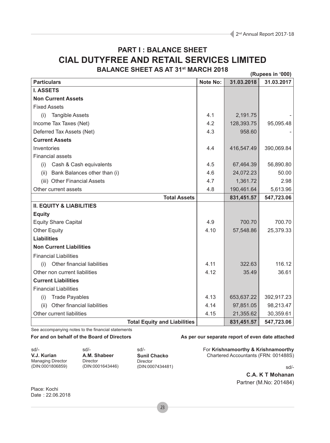## **PART I : BALANCE SHEET CIAL DUTYFREE AND RETAIL SERVICES LIMITED BALANCE SHEET AS AT 31st MARCH 2018**

 **(Rupees in '000) Particulars Note No: 31.03.2018 31.03.2017 I. ASSETS Non Current Assets** Fixed Assets (i) Tangible Assets 4.1 2,191.75 - Income Tax Taxes (Net) 128,393.75 95,095.48 Deferred Tax Assets (Net) 1958.60 **Current Assets** Inventories 4.4 416,547.49 390,069.84 Financial assets (i) Cash & Cash equivalents  $\begin{array}{|c|c|c|c|c|c|c|c|} \hline \end{array}$  4.5  $\begin{array}{|c|c|c|c|c|c|c|c|} \hline \end{array}$  56,890.80 (ii) Bank Balances other than (i)  $\begin{array}{|c|c|c|c|c|c|c|c|c|} \hline \end{array}$  4.6  $\begin{array}{|c|c|c|c|c|c|c|c|c|} \hline \end{array}$  24.072.23 50.00 (iii) Other Financial Assets  $\begin{array}{ccc} | & 4.7 & | & 1.361.72 & | \end{array}$  2.98 Other current assets 4.8 190,461.64 5.613.96 **Total Assets 831,451.57 547,723.06 II. EQUITY & LIABILITIES Equity** Equity Share Capital 2000 2000 700.70 1000 700.70 1000 700.70 1000 700.70 1000 700.70 1000 700.70 1000 700.70 Other Equity 4.10 57,548.86 25,379.33 **Liabilities Non Current Liabilities** Financial Liabilities (i) Other financial liabilities 4.11 322.63 116.12 Other non current liabilities 26.61 36.61 **Current Liabilities** Financial Liabilities (i) Trade Payables  $\begin{array}{|c|c|c|c|c|c|c|c|} \hline \end{array}$  4.13  $\begin{array}{|c|c|c|c|c|c|c|c|} \hline \end{array}$  4.13  $\begin{array}{|c|c|c|c|c|c|} \hline \end{array}$  653,637.22 392,917.23 (ii) Other financial liabilities  $\begin{array}{|c|c|c|c|c|c|c|c|c|} \hline 4.14 & 97,851.05 & 98,213.47 \hline \end{array}$ Other current liabilities **4.15** 21,355.62 30,359.61 **Total Equity and Liabilities | 831,451.57 | 547,723.06** 

See accompanying notes to the financial statements

#### For and on behalf of the Board of Directors **As per our separate report of even date attached**

sd/- **V.J. Kurian** Managing Director (DIN:0001806859)

sd/- **A.M. Shabeer** Director (DIN:0001643446)

sd/- **Sunil Chacko** Director (DIN:0007434481) For **Krishnamoorthy & Krishnamoorthy** Chartered Accountants (FRN: 001488S)

sd/-

**C.A. K T Mohanan** Partner (M.No: 201484)

Place: Kochi Date : 22.06.2018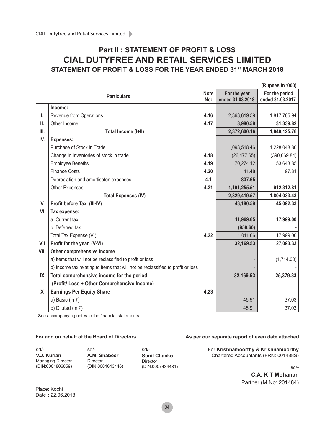## **Part II : STATEMENT OF PROFIT & LOSS CIAL DUTYFREE AND RETAIL SERVICES LIMITED STATEMENT OF PROFIT & LOSS FOR THE YEAR ENDED 31st MARCH 2018**

|               |                                                                                 |                    |                                  | (Rupees in '000)                   |
|---------------|---------------------------------------------------------------------------------|--------------------|----------------------------------|------------------------------------|
|               | <b>Particulars</b>                                                              | <b>Note</b><br>No: | For the year<br>ended 31.03.2018 | For the period<br>ended 31.03.2017 |
|               | Income:                                                                         |                    |                                  |                                    |
| ı.            | Revenue from Operations                                                         | 4.16               | 2,363,619.59                     | 1,817,785.94                       |
| Ш.            | Other Income                                                                    | 4.17               | 8,980.58                         | 31,339.82                          |
| Ш.            | Total Income (I+II)                                                             |                    | 2,372,600.16                     | 1,849,125.76                       |
| IV.           | <b>Expenses:</b>                                                                |                    |                                  |                                    |
|               | Purchase of Stock in Trade                                                      |                    | 1,093,518.46                     | 1,228,048.80                       |
|               | Change in Inventories of stock in trade                                         | 4.18               | (26, 477.65)                     | (390,069.84)                       |
|               | <b>Employee Benefits</b>                                                        | 4.19               | 70,274.12                        | 53,643.85                          |
|               | <b>Finance Costs</b>                                                            | 4.20               | 11.48                            | 97.81                              |
|               | Depreciation and amortisaton expenses                                           | 4.1                | 837.65                           |                                    |
|               | <b>Other Expenses</b>                                                           | 4.21               | 1,191,255.51                     | 912,312.81                         |
|               | <b>Total Expenses (IV)</b>                                                      |                    | 2,329,419.57                     | 1,804,033.43                       |
| V             | Profit before Tax (III-IV)                                                      |                    | 43,180.59                        | 45,092.33                          |
| VI            | Tax expense:                                                                    |                    |                                  |                                    |
|               | a. Current tax                                                                  |                    | 11,969.65                        | 17,999.00                          |
|               | b. Deferred tax                                                                 |                    | (958.60)                         |                                    |
|               | Total Tax Expense (VI)                                                          | 4.22               | 11,011.06                        | 17,999.00                          |
| VII           | Profit for the year (V-VI)                                                      |                    | 32,169.53                        | 27,093.33                          |
| VIII          | Other comprehensive income                                                      |                    |                                  |                                    |
|               | a) Items that will not be reclassified to profit or loss                        |                    |                                  | (1,714.00)                         |
|               | b) Income tax relating to items that will not be reclassified to profit or loss |                    |                                  |                                    |
| $\mathsf{IX}$ | Total comprehensive income for the period                                       |                    | 32,169.53                        | 25,379.33                          |
|               | (Profit/ Loss + Other Comprehensive Income)                                     |                    |                                  |                                    |
| X             | <b>Earnings Per Equity Share</b>                                                | 4.23               |                                  |                                    |
|               | a) Basic (in ₹)                                                                 |                    | 45.91                            | 37.03                              |
|               | b) Diluted (in $\bar{z}$ )                                                      |                    | 45.91                            | 37.03                              |

See accompanying notes to the financial statements

sd/- **V.J. Kurian** Managing Director (DIN:0001806859)

sd/- **A.M. Shabeer** Director (DIN:0001643446)

sd/- **Sunil Chacko** Director (DIN:0007434481)

#### For and on behalf of the Board of Directors **As per our separate report of even date attached**

For **Krishnamoorthy & Krishnamoorthy** Chartered Accountants (FRN: 001488S)

sd/-

**C.A. K T Mohanan** Partner (M.No: 201484)

Place: Kochi Date : 22.06.2018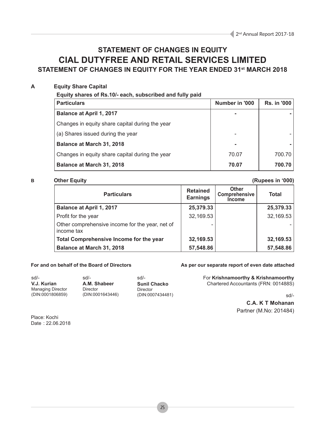## **STATEMENT OF CHANGES IN EQUITY CIAL DUTYFREE AND RETAIL SERVICES LIMITED STATEMENT OF CHANGES IN EQUITY FOR THE YEAR ENDED 31st MARCH 2018**

## **A Equity Share Capital**

**Equity shares of Rs.10/- each, subscribed and fully paid**

| <b>Particulars</b>                              | Number in '000 | <b>Rs. in '000</b> |
|-------------------------------------------------|----------------|--------------------|
| <b>Balance at April 1, 2017</b>                 |                |                    |
| Changes in equity share capital during the year |                |                    |
| (a) Shares issued during the year               |                |                    |
| Balance at March 31, 2018                       |                |                    |
| Changes in equity share capital during the year | 70.07          | 700.70             |
| Balance at March 31, 2018                       | 70.07          | 700.70             |

#### **B Other Equity (Rupees in '000) Particulars Retained Earnings Other Comprehensive Income Total Balance at April 1, 2017 25,379.33 25,379.33**  Profit for the year 1982, 169.53 32,169.53 Other comprehensive income for the year, net of income tax - - **Total Comprehensive Income for the year**  32,169.53 32,169.53 **Balance at March 31, 2018 57,548.86 57,548.86 57,548.86**

sd/- **V.J. Kurian** Managing Director (DIN:0001806859) sd/- **A.M. Shabeer** Director (DIN:0001643446)

sd/- **Sunil Chacko** Director (DIN:0007434481)

## For and on behalf of the Board of Directors **As per our separate report of even date attached**

For **Krishnamoorthy & Krishnamoorthy** Chartered Accountants (FRN: 001488S)

sd/-

**C.A. K T Mohanan** Partner (M.No: 201484)

Place: Kochi Date : 22.06.2018

25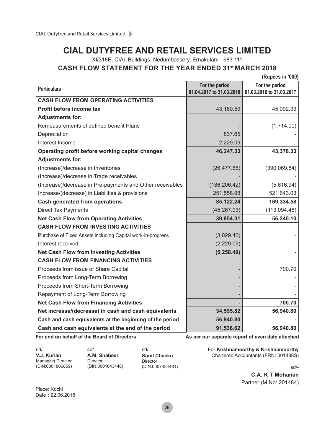## **CIAL DUTYFREE AND RETAIL SERVICES LIMITED**

XI/318E, CIAL Buildings, Nedumbassery, Ernakulam - 683 111

## **CASH FLOW STATEMENT FOR THE YEAR ENDED 31st MARCH 2018**

 **(Rupees in '000)**

| <b>Particulars</b>                                          | For the period<br>01.04.2017 to 31.03.2018 | For the period<br>01.03.2016 to 31.03.2017 |
|-------------------------------------------------------------|--------------------------------------------|--------------------------------------------|
| <b>CASH FLOW FROM OPERATING ACTIVITIES</b>                  |                                            |                                            |
| Profit before income tax                                    | 43,180.59                                  | 45,092.33                                  |
| <b>Adjustments for:</b>                                     |                                            |                                            |
| Remeasurements of defined benefit Plans                     |                                            | (1,714.00)                                 |
| Depreciation                                                | 837.65                                     |                                            |
| Interest Income                                             | 2,229.09                                   |                                            |
| Operating profit before working capital changes             | 46,247.33                                  | 43,378.33                                  |
| <b>Adjustments for:</b>                                     |                                            |                                            |
| (Increase)/decrease in Inventories                          | (26, 477.65)                               | (390,069.84)                               |
| (Increase)/decrease in Trade receivables                    |                                            |                                            |
| (Increase)/decrease in Pre-payments and Other receivables   | (186, 206.42)                              | (5,616.94)                                 |
| Increase/(decrease) in Liabilities & provisions             | 251,558.98                                 | 521,643.03                                 |
| <b>Cash generated from operations</b>                       | 85,122.24                                  | 169,334.58                                 |
| <b>Direct Tax Payments</b>                                  | (45, 267.93)                               | (113,094.48)                               |
| <b>Net Cash Flow from Operating Activities</b>              | 39,854.31                                  | 56,240.10                                  |
| <b>CASH FLOW FROM INVESTING ACTIVITIES</b>                  |                                            |                                            |
| Purchase of Fixed Assets including Capital work-in-progress | (3,029.40)                                 |                                            |
| Interest received                                           | (2,229.09)                                 |                                            |
| <b>Net Cash Flow from Investing Activities</b>              | (5, 258.49)                                |                                            |
| <b>CASH FLOW FROM FINANCING ACTIVITIES</b>                  |                                            |                                            |
| Proceeds from issue of Share Capital                        |                                            | 700.70                                     |
| Proceeds from Long-Term Borrowing                           |                                            |                                            |
| Proceeds from Short-Term Borrowing                          |                                            |                                            |
| Repayment of Long-Term Borrowing                            |                                            |                                            |
| <b>Net Cash Flow from Financing Activities</b>              |                                            | 700.70                                     |
| Net increase/(decrease) in cash and cash equivalents        | 34,595.82                                  | 56,940.80                                  |
| Cash and cash equivalents at the beginning of the period    | 56,940.80                                  |                                            |
| Cash and cash equivalents at the end of the period          | 91,536.62                                  | 56,940.80                                  |

sd/- **V.J. Kurian** Managing Director (DIN:0001806859)

sd/- **A.M. Shabeer** Director (DIN:0001643446)

sd/- **Sunil Chacko** Director (DIN:0007434481)

For and on behalf of the Board of Directors **As per our separate report of even date attached** 

For **Krishnamoorthy & Krishnamoorthy** Chartered Accountants (FRN: 001488S)

sd/-

**C.A. K T Mohanan** Partner (M.No: 201484)

Place: Kochi Date : 22.06.2018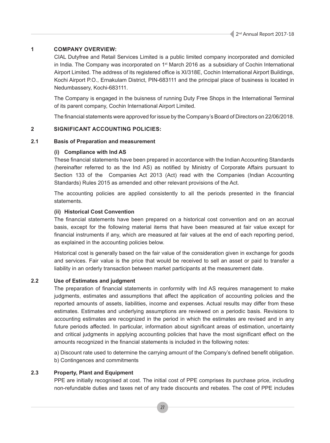## **1 COMPANY OVERVIEW:**

CIAL Dutyfree and Retail Services Limited is a public limited company incorporated and domiciled in India. The Company was incorporated on  $1<sup>st</sup>$  March 2016 as a subsidiary of Cochin International Airport Limited. The address of its registered office is XI/318E, Cochin International Airport Buildings, Kochi Airport P.O., Ernakulam District, PIN-683111 and the principal place of business is located in Nedumbassery, Kochi-683111.

The Company is engaged in the buisness of running Duty Free Shops in the International Terminal of its parent company, Cochin International Airport Limited.

The financial statements were approved for issue by the Company's Board of Directors on 22/06/2018.

## **2 SIGNIFICANT ACCOUNTING POLICIES:**

## **2.1 Basis of Preparation and measurement**

## **(i) Compliance with Ind AS**

These financial statements have been prepared in accordance with the Indian Accounting Standards (hereinafter referred to as the Ind AS) as notified by Ministry of Corporate Affairs pursuant to Section 133 of the Companies Act 2013 (Act) read with the Companies (Indian Accounting Standards) Rules 2015 as amended and other relevant provisions of the Act.

The accounting policies are applied consistently to all the periods presented in the financial statements.

## **(ii) Historical Cost Convention**

The financial statements have been prepared on a historical cost convention and on an accrual basis, except for the following material items that have been measured at fair value except for financial instruments if any, which are measured at fair values at the end of each reporting period, as explained in the accounting policies below.

Historical cost is generally based on the fair value of the consideration given in exchange for goods and services. Fair value is the price that would be received to sell an asset or paid to transfer a liability in an orderly transaction between market participants at the measurement date.

## **2.2 Use of Estimates and judgment**

The preparation of financial statements in conformity with Ind AS requires management to make judgments, estimates and assumptions that affect the application of accounting policies and the reported amounts of assets, liabilities, income and expenses. Actual results may differ from these estimates. Estimates and underlying assumptions are reviewed on a periodic basis. Revisions to accounting estimates are recognized in the period in which the estimates are revised and in any future periods affected. In particular, information about significant areas of estimation, uncertainty and critical judgments in applying accounting policies that have the most significant effect on the amounts recognized in the financial statements is included in the following notes:

a) Discount rate used to determine the carrying amount of the Company's defined benefit obligation. b) Contingences and commitments

## **2.3 Property, Plant and Equipment**

PPE are initially recognised at cost. The initial cost of PPE comprises its purchase price, including non-refundable duties and taxes net of any trade discounts and rebates. The cost of PPE includes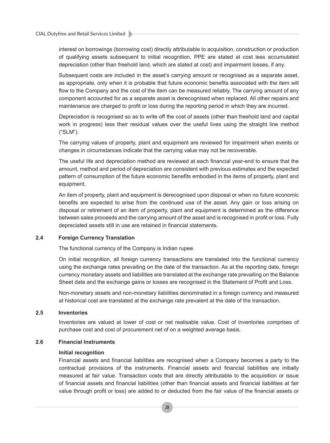interest on borrowings (borrowing cost) directly attributable to acquisition, construction or production of qualifying assets subsequent to initial recognition, PPE are stated at cost less accumulated depreciation (other than freehold land, which are stated at cost) and impairment losses, if any.

Subsequent costs are included in the asset's carrying amount or recognised as a separate asset, as appropriate, only when it is probable that future economic benefits associated with the item will flow to the Company and the cost of the item can be measured reliably. The carrying amount of any component accounted for as a separate asset is derecognised when replaced. All other repairs and maintenance are charged to profit or loss during the reporting period in which they are incurred.

Depreciation is recognised so as to write off the cost of assets (other than freehold land and capital work in progress) less their residual values over the useful lives using the straight line method ("SLM").

The carrying values of property, plant and equipment are reviewed for impairment when events or changes in circumstances indicate that the carrying value may not be recoverable.

The useful life and depreciation method are reviewed at each financial year-end to ensure that the amount, method and period of depreciation are consistent with previous estimates and the expected pattern of consumption of the future economic benefits embodied in the items of property, plant and equipment.

An item of property, plant and equipment is derecognised upon disposal or when no future economic benefits are expected to arise from the continued use of the asset. Any gain or loss arising on disposal or retirement of an item of property, plant and equipment is determined as the difference between sales proceeds and the carrying amount of the asset and is recognised in profit or loss. Fully depreciated assets still in use are retained in financial statements.

## **2.4 Foreign Currency Translation**

The functional currency of the Company is Indian rupee.

On initial recognition, all foreign currency transactions are translated into the functional currency using the exchange rates prevailing on the date of the transaction. As at the reporting date, foreign currency monetary assets and liabilities are translated at the exchange rate prevailing on the Balance Sheet date and the exchange gains or losses are recognised in the Statement of Profit and Loss.

Non-monetary assets and non-monetary liabilities denominated in a foreign currency and measured at historical cost are translated at the exchange rate prevalent at the date of the transaction.

## **2.5 Inventories**

Inventories are valued at lower of cost or net realisable value. Cost of inventories comprises of purchase cost and cost of procurement net of on a weighted average basis.

## **2.6 Financial Instruments**

#### **Initial recognition**

Financial assets and financial liabilities are recognised when a Company becomes a party to the contractual provisions of the instruments. Financial assets and financial liabilities are initially measured at fair value. Transaction costs that are directly attributable to the acquisition or issue of financial assets and financial liabilities (other than financial assets and financial liabilities at fair value through profit or loss) are added to or deducted from the fair value of the financial assets or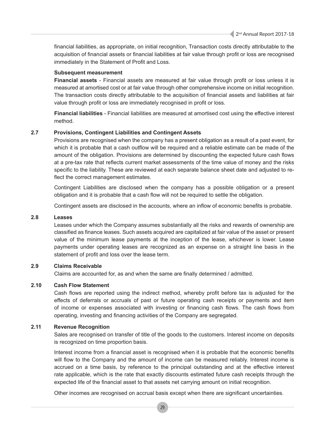financial liabilities, as appropriate, on initial recognition, Transaction costs directly attributable to the acquisition of financial assets or financial liabilities at fair value through profit or loss are recognised immediately in the Statement of Profit and Loss.

## **Subsequent measurement**

**Financial assets** - Financial assets are measured at fair value through profit or loss unless it is measured at amortised cost or at fair value through other comprehensive income on initial recognition. The transaction costs directly attributable to the acquisition of financial assets and liabilities at fair value through profit or loss are immediately recognised in profit or loss.

**Financial liabilities** - Financial liabilities are measured at amortised cost using the effective interest method.

## **2.7 Provisions, Contingent Liabilities and Contingent Assets**

Provisions are recognised when the company has a present obligation as a result of a past event, for which it is probable that a cash outflow will be required and a reliable estimate can be made of the amount of the obligation. Provisions are determined by discounting the expected future cash flows at a pre-tax rate that reflects current market assessments of the time value of money and the risks specific to the liability. These are reviewed at each separate balance sheet date and adjusted to reflect the correct management estimates.

Contingent Liabilities are disclosed when the company has a possible obligation or a present obligation and it is probable that a cash flow will not be required to settle the obligation.

Contingent assets are disclosed in the accounts, where an inflow of economic benefits is probable.

### **2.8 Leases**

Leases under which the Company assumes substantially all the risks and rewards of ownership are classified as finance leases. Such assets acquired are capitalized at fair value of the asset or present value of the minimum lease payments at the inception of the lease, whichever is lower. Lease payments under operating leases are recognized as an expense on a straight line basis in the statement of profit and loss over the lease term.

## **2.9 Claims Receivable**

Claims are accounted for, as and when the same are finally determined / admitted.

## **2.10 Cash Flow Statement**

Cash flows are reported using the indirect method, whereby profit before tax is adjusted for the effects of deferrals or accruals of past or future operating cash receipts or payments and item of income or expenses associated with investing or financing cash flows. The cash flows from operating, investing and financing activities of the Company are segregated.

## **2.11 Revenue Recognition**

Sales are recognised on transfer of title of the goods to the customers. Interest income on deposits is recognized on time proportion basis.

Interest income from a financial asset is recognised when it is probable that the economic benefits will flow to the Company and the amount of income can be measured reliably. Interest income is accrued on a time basis, by reference to the principal outstanding and at the effective interest rate applicable, which is the rate that exactly discounts estimated future cash receipts through the expected life of the financial asset to that assets net carrying amount on initial recognition.

Other incomes are recognised on accrual basis except when there are significant uncertainties.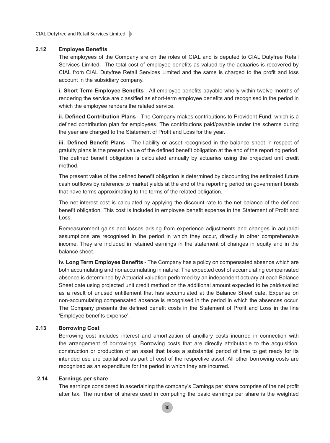## **2.12 Employee Benefits**

The employees of the Company are on the roles of CIAL and is deputed to CIAL Dutyfree Retail Services Limited. The total cost of employee benefits as valued by the actuaries is recovered by CIAL from CIAL Dutyfree Retail Services Limited and the same is charged to the profit and loss account in the subsidiary company.

**i. Short Term Employee Benefits** - All employee benefits payable wholly within twelve months of rendering the service are classified as short-term employee benefits and recognised in the period in which the employee renders the related service.

**ii. Defined Contribution Plans** - The Company makes contributions to Provident Fund, which is a defined contribution plan for employees. The contributions paid/payable under the scheme during the year are charged to the Statement of Profit and Loss for the year.

**iii. Defined Benefit Plans** - The liability or asset recognised in the balance sheet in respect of gratuity plans is the present value of the defined benefit obligation at the end of the reporting period. The defined benefit obligation is calculated annually by actuaries using the projected unit credit method.

The present value of the defined benefit obligation is determined by discounting the estimated future cash outflows by reference to market yields at the end of the reporting period on government bonds that have terms approximating to the terms of the related obligation.

The net interest cost is calculated by applying the discount rate to the net balance of the defined benefit obligation. This cost is included in employee benefit expense in the Statement of Profit and Loss.

Remeasurement gains and losses arising from experience adjustments and changes in actuarial assumptions are recognised in the period in which they occur, directly in other comprehensive income. They are included in retained earnings in the statement of changes in equity and in the balance sheet.

**iv. Long Term Employee Benefits** - The Company has a policy on compensated absence which are both accumulating and nonaccumulating in nature. The expected cost of accumulating compensated absence is determined by Actuarial valuation performed by an independent actuary at each Balance Sheet date using projected unit credit method on the additional amount expected to be paid/availed as a result of unused entitlement that has accumulated at the Balance Sheet date. Expense on non-accumulating compensated absence is recognised in the period in which the absences occur. The Company presents the defined benefit costs in the Statement of Profit and Loss in the line 'Employee benefits expense'.

## **2.13 Borrowing Cost**

Borrowing cost includes interest and amortization of ancillary costs incurred in connection with the arrangement of borrowings. Borrowing costs that are directly attributable to the acquisition, construction or production of an asset that takes a substantial period of time to get ready for its intended use are capitalised as part of cost of the respective asset. All other borrowing costs are recognized as an expenditure for the period in which they are incurred.

## **2.14 Earnings per share**

The earnings considered in ascertaining the company's Earnings per share comprise of the net profit after tax. The number of shares used in computing the basic earnings per share is the weighted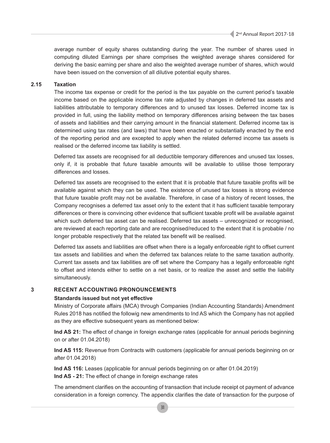average number of equity shares outstanding during the year. The number of shares used in computing diluted Earnings per share comprises the weighted average shares considered for deriving the basic earning per share and also the weighted average number of shares, which would have been issued on the conversion of all dilutive potential equity shares.

## **2.15 Taxation**

The income tax expense or credit for the period is the tax payable on the current period's taxable income based on the applicable income tax rate adjusted by changes in deferred tax assets and liabilities attributable to temporary differences and to unused tax losses. Deferred income tax is provided in full, using the liability method on temporary differences arising between the tax bases of assets and liabilities and their carrying amount in the financial statement. Deferred income tax is determined using tax rates (and laws) that have been enacted or substantially enacted by the end of the reporting period and are excepted to apply when the related deferred income tax assets is realised or the deferred income tax liability is settled.

Deferred tax assets are recognised for all deductible temporary differences and unused tax losses, only if, it is probable that future taxable amounts will be available to utilise those temporary differences and losses.

Deferred tax assets are recognised to the extent that it is probable that future taxable profits will be available against which they can be used. The existence of unused tax losses is strong evidence that future taxable profit may not be available. Therefore, in case of a history of recent losses, the Company recognises a deferred tax asset only to the extent that it has sufficient taxable temporary differences or there is convincing other evidence that sufficient taxable profit will be available against which such deferred tax asset can be realised. Deferred tax assets – unrecognized or recognised, are reviewed at each reporting date and are recognised/reduced to the extent that it is probable / no longer probable respectively that the related tax benefit will be realised.

Deferred tax assets and liabilities are offset when there is a legally enforceable right to offset current tax assets and liabilities and when the deferred tax balances relate to the same taxation authority. Current tax assets and tax liabilities are off set where the Company has a legally enforceable right to offset and intends either to settle on a net basis, or to realize the asset and settle the liability simultaneously.

## **3 RECENT ACCOUNTING PRONOUNCEMENTS**

### **Standards issued but not yet effective**

Ministry of Corporate affairs (MCA) through Companies (Indian Accounting Standards) Amendment Rules 2018 has notified the followig new amendments to Ind AS which the Company has not applied as they are effective subsequent years as mentioned below:

**Ind AS 21:** The effect of change in foreign exchange rates (applicable for annual periods beginning on or after 01.04.2018)

**Ind AS 115:** Revenue from Contracts with customers (applicable for annual periods beginning on or after 01.04.2018)

**Ind AS 116:** Leases (applicable for annual periods beginning on or after 01.04.2019) **Ind AS - 21:** The effect of change in foreign exchange rates

The amendment clarifies on the accounting of transaction that include receipt ot payment of advance consideration in a foreign corrency. The appendix clarifies the date of transaction for the purpose of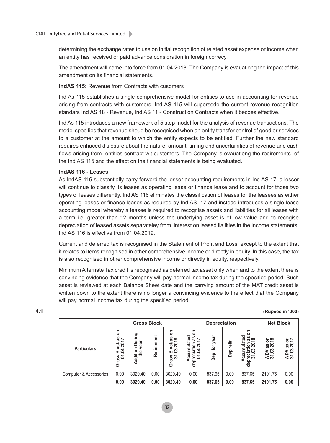determining the exchange rates to use on initial recognition of related asset expense or income when an entity has received or paid advance considration in foreign correcy.

The amendment will come into force from 01.04.2018. The Company is evauationg the impact of this amendment on its financial statements.

## **IndAS 115:** Revenue from Contracts with cusomers

Ind As 115 establishes a single comprehensive model for entities to use in accounting for revenue arising from contracts with customers. Ind AS 115 will supersede the current revenue recognition standars Ind AS 18 - Revenue, Ind AS 11 - Construction Contracts when it becoes effective.

Ind As 115 introduces a new framework of 5 step model for the analysis of revenue transactions. The model specifies that revenue shoud be recognised when an entity transfer control of good or services to a customer at the amount to which the entity expects to be entitled. Further the new standard requires enhaced dislosure about the nature, amount, timing and uncertainities of revenue and cash flows arising from entities contract wit customers. The Company is evauationg the reqirements of the Ind AS 115 and the effect on the financial statements is being evaluated.

## **IndAS 116 - Leases**

As IndAS 116 substantially carry forward the lessor accounting requirements in Ind AS 17, a lessor will continue to classify its leases as operating lease or finance lease and to account for those two types of leases differently. Ind AS 116 eliminates the classification of leases for the leasees as either operating leases or finance leases as required by Ind AS 17 and instead introduces a single lease accounting model whereby a leasee is required to recognise assets and liabilities for all leases with a term i.e. greater than 12 months unless the underlying asset is of low value and to recogise depreciation of leased assets separateley from interest on leased liailities in the income statements. Ind AS 116 is effective from 01.04.2019.

Current and deferred tax is recognised in the Statement of Profit and Loss, except to the extent that it relates to items recognised in other comprehensive income or directly in equity. In this case, the tax is also recognised in other comprehensive income or directly in equity, respectively.

Minimum Alternate Tax credit is recognised as deferred tax asset only when and to the extent there is convincing evidence that the Company will pay normal income tax during the specified period. Such asset is reviewed at each Balance Sheet date and the carrying amount of the MAT credit asset is written down to the extent there is no longer a convincing evidence to the effect that the Company will pay normal income tax during the specified period.

|                                   |                                                                                | <b>Gross Block</b>                       |            |                                                              | <b>Depreciation</b>                                                                               |                     |                | <b>Net Block</b>                                                                        |                                        |                                                                       |
|-----------------------------------|--------------------------------------------------------------------------------|------------------------------------------|------------|--------------------------------------------------------------|---------------------------------------------------------------------------------------------------|---------------------|----------------|-----------------------------------------------------------------------------------------|----------------------------------------|-----------------------------------------------------------------------|
| <b>Particulars</b>                | ຣ<br>SB<br>$\overline{ }$<br><b>Block a</b><br>04.201<br>នទ<br>ΰó<br><u>وي</u> | ဥ<br>⋲<br>year<br>ā<br>m<br>Le<br>Additi | Retirement | g<br>SB<br>$\infty$<br><b>Block</b><br>03.201<br>Gross<br>31 | S<br>ated<br>$\frac{5}{6}$<br>201<br>ទ<br>₽<br>₹<br>으.<br>Ó<br><b>CCU</b><br>preci<br>ਠ<br>⋖<br>용 | year<br>for<br>Dep. | retir.<br>Dep. | ទ<br>lated<br>SB<br>$\infty$<br>ຣົລ<br>Ē<br>iati<br>က<br>ö<br>Accu<br>preci<br>31.<br>용 | ⊂ ∞<br><b>as org</b><br>WDV:<br>31.03. | $\overline{\phantom{0}}$<br><b>as 0</b><br>ິຮຸ<br><b>NDV</b><br>31.03 |
| <b>Computer &amp; Accessories</b> | 0.00                                                                           | 3029.40                                  | 0.00       | 3029.40                                                      | 0.00                                                                                              | 837.65              | 0.00           | 837.65                                                                                  | 2191.75                                | 0.00                                                                  |
|                                   | 0.00                                                                           | 3029.40                                  | 0.00       | 3029.40                                                      | 0.00                                                                                              | 837.65              | 0.00           | 837.65                                                                                  | 2191.75                                | 0.00                                                                  |

## **4.1 (Rupees in '000)**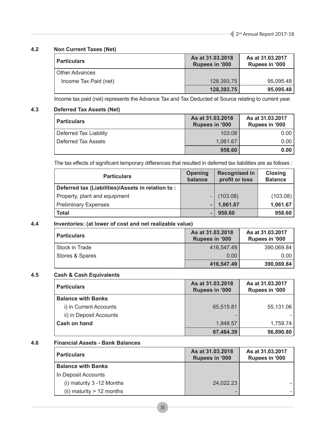## **4.2 Non Current Taxes (Net)**

| <b>Particulars</b>    | As at 31.03.2018<br><b>Rupees in '000</b> | As at 31.03.2017<br>Rupees in '000 |
|-----------------------|-------------------------------------------|------------------------------------|
| Other Advances        |                                           |                                    |
| Income Tax Paid (net) | 128,393.75                                | 95.095.48                          |
|                       | 128,393.75                                | 95,095.48                          |

Income tax paid (net) represents the Advance Tax and Tax Deducted at Source relating to current year.

## **4.3 Deferred Tax Assets (Net)**

| <b>Particulars</b>     | As at 31,03,2018<br><b>Rupees in '000</b> | As at 31.03.2017<br>Rupees in '000 |
|------------------------|-------------------------------------------|------------------------------------|
| Deferred Tax Liability | 103.08                                    | 0.001                              |
| Deferred Tax Assets    | 1.061.67                                  | 0.001                              |
|                        | 958.60                                    | 0.00                               |

The tax effects of significant temporary differences that resulted in deferred tax liabilities are as follows :

| <b>Particulars</b>                                 | <b>Opening</b><br>balance | <b>Recognised in</b><br>profit or loss | <b>Closing</b><br><b>Balance</b> |
|----------------------------------------------------|---------------------------|----------------------------------------|----------------------------------|
| Deferred tax (Liabilities)/Assets in relation to : |                           |                                        |                                  |
| Property, plant and equipment                      |                           | (103.08)                               | (103.08)                         |
| <b>Preliminary Expenses</b>                        |                           | 1,061.67                               | 1,061.67                         |
| <b>Total</b>                                       |                           | 958,60                                 | 958.60                           |

## **4.4 Inventories: (at lower of cost and net realizable value)**

| <b>Particulars</b> | As at 31,03,2018<br>Rupees in '000 | As at 31.03.2017<br>Rupees in '000 |
|--------------------|------------------------------------|------------------------------------|
| Stock in Trade     | 416.547.49                         | 390,069.84                         |
| Stores & Spares    | 0.00                               | 0.00 <sub>1</sub>                  |
|                    | 416,547.49                         | 390,069.84                         |

## **4.5 Cash & Cash Equivalents**

| <b>Particulars</b>        | As at 31.03.2018<br><b>Rupees in '000</b> | As at 31.03.2017<br>Rupees in '000 |
|---------------------------|-------------------------------------------|------------------------------------|
| <b>Balance with Banks</b> |                                           |                                    |
| i) in Current Accounts    | 65,515.81                                 | 55,131.06                          |
| ii) in Deposit Accounts   |                                           |                                    |
| Cash on hand              | 1,948.57                                  | 1,759.74                           |
|                           | 67,464.39                                 | 56,890.80                          |

## **4.6 Financial Assets - Bank Balances**

| <b>Particulars</b>           | As at 31,03,2018<br>Rupees in '000 | As at 31.03.2017<br>Rupees in '000 |
|------------------------------|------------------------------------|------------------------------------|
| <b>Balance with Banks</b>    |                                    |                                    |
| In Deposit Accounts          |                                    |                                    |
| (i) maturity $3 - 12$ Months | 24,022.23                          |                                    |
| (ii) maturity $> 12$ months  |                                    |                                    |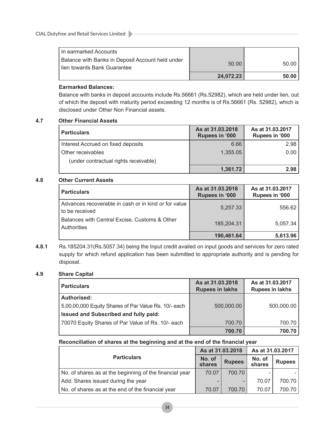| I In earmarked Accounts                                                           |           |        |
|-----------------------------------------------------------------------------------|-----------|--------|
| Balance with Banks in Deposit Account held under<br>I lien towards Bank Guarantee | 50.00     | 50.00  |
|                                                                                   | 24.072.23 | 50.001 |

## **Earmarked Balances:**

Balance with banks in deposit accounts include Rs.56661 (Rs.52982), which are held under lien, out of which the deposit with maturity period exceeding 12 months is of Rs.56661 (Rs. 52982), which is disclosed under Other Non Financial assets.

## **4.7 Other Financial Assets**

| <b>Particulars</b>                    | As at 31.03.2018<br>Rupees in '000 | As at 31.03.2017<br>Rupees in '000 |
|---------------------------------------|------------------------------------|------------------------------------|
| Interest Accrued on fixed deposits    | 6.66                               | 2.98                               |
| Other receivables                     | 1,355.05                           | 0.00                               |
| (under contractual rights receivable) |                                    |                                    |
|                                       | 1,361.72                           | 2.98 <sup>°</sup>                  |

## **4.8 Other Current Assets**

| <b>Particulars</b>                                                     | As at 31.03.2018<br><b>Rupees in '000</b> | As at 31.03.2017<br>Rupees in '000 |
|------------------------------------------------------------------------|-------------------------------------------|------------------------------------|
| Advances recoverable in cash or in kind or for value<br>to be received | 5,257.33                                  | 556.62                             |
| Balances with Central Excise, Customs & Other<br>Authorities           | 185,204.31                                | 5.057.34                           |
|                                                                        | 190,461.64                                | 5,613.96                           |

## **4.8.1** Rs.185204.31(Rs.5057.34) being the Input credit availed on input goods and services for zero rated supply for which refund application has been submitted to appropriate authority and is pending for disposal.

## **4.9 Share Capital**

| <b>Particulars</b>                                   | As at 31.03.2018<br><b>Rupees in lakhs</b> | As at 31.03.2017<br><b>Rupees in lakhs</b> |
|------------------------------------------------------|--------------------------------------------|--------------------------------------------|
| <b>Authorised:</b>                                   |                                            |                                            |
| 5,00,00,000 Equity Shares of Par Value Rs. 10/- each | 500,000.00                                 | 500,000.00                                 |
| Issued and Subscribed and fully paid:                |                                            |                                            |
| 70070 Equity Shares of Par Value of Rs. 10/- each    | 700.70                                     | 700.70                                     |
|                                                      | 700.70                                     | 700.70                                     |

## **Reconciliation of shares at the beginning and at the end of the financial year**

|                                                         | As at 31.03.2018 |               | As at 31.03.2017 |               |
|---------------------------------------------------------|------------------|---------------|------------------|---------------|
| <b>Particulars</b>                                      | No. of<br>shares | <b>Rupees</b> | No. of<br>shares | <b>Rupees</b> |
| No. of shares as at the beginning of the financial year | 70.07            | 700.70        |                  |               |
| Add: Shares issued during the year                      |                  |               | 70.07            | 700.70        |
| No. of shares as at the end of the financial year       | 70.07            | 700.70        | 70.07            | 700.70        |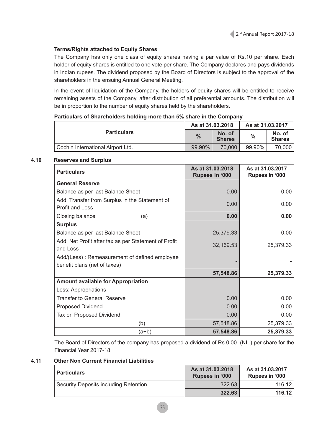## **Terms/Rights attached to Equity Shares**

The Company has only one class of equity shares having a par value of Rs.10 per share. Each holder of equity shares is entitled to one vote per share. The Company declares and pays dividends in Indian rupees. The dividend proposed by the Board of Directors is subject to the approval of the shareholders in the ensuing Annual General Meeting.

In the event of liquidation of the Company, the holders of equity shares will be entitled to receive remaining assets of the Company, after distribution of all preferential amounts. The distribution will be in proportion to the number of equity shares held by the shareholders.

## **Particulars of Shareholders holding more than 5% share in the Company**

|                                   | As at 31.03.2018 |                         | As at 31.03.2017 |                         |
|-----------------------------------|------------------|-------------------------|------------------|-------------------------|
| <b>Particulars</b>                | $\frac{9}{6}$    | No. of<br><b>Shares</b> | $\frac{0}{0}$    | No. of<br><b>Shares</b> |
| Cochin International Airport Ltd. | 99.90%           | 70.000                  | 99.90%           | 70.000                  |

## **4.10 Reserves and Surplus**

| <b>Particulars</b>                                   | As at 31.03.2018<br>Rupees in '000 | As at 31.03.2017<br>Rupees in '000 |
|------------------------------------------------------|------------------------------------|------------------------------------|
| <b>General Reserve</b>                               |                                    |                                    |
| Balance as per last Balance Sheet                    | 0.00                               | 0.00                               |
| Add: Transfer from Surplus in the Statement of       | 0.00                               | 0.00                               |
| <b>Profit and Loss</b>                               |                                    |                                    |
| Closing balance<br>(a)                               | 0.00                               | 0.00                               |
| <b>Surplus</b>                                       |                                    |                                    |
| Balance as per last Balance Sheet                    | 25,379.33                          | 0.00                               |
| Add: Net Profit after tax as per Statement of Profit | 32,169.53                          | 25,379.33                          |
| and Loss                                             |                                    |                                    |
| Add/(Less): Remeasurement of defined employee        |                                    |                                    |
| benefit plans (net of taxes)                         |                                    |                                    |
|                                                      | 57,548.86                          | 25,379.33                          |
| <b>Amount available for Appropriation</b>            |                                    |                                    |
| Less: Appropriations                                 |                                    |                                    |
| <b>Transfer to General Reserve</b>                   | 0.00                               | 0.00                               |
| <b>Proposed Dividend</b>                             | 0.00                               | 0.00                               |
| Tax on Proposed Dividend                             | 0.00                               | 0.00                               |
| (b)                                                  | 57,548.86                          | 25,379.33                          |
| (a+b)                                                | 57,548.86                          | 25,379.33                          |

The Board of Directors of the company has proposed a dividend of Rs.0.00 (NIL) per share for the Financial Year 2017-18.

## **4.11 Other Non Current Financial Liabilities**

| <b>Particulars</b>                    | As at 31.03.2018<br>Rupees in '000 | As at 31.03.2017<br>Rupees in '000 |
|---------------------------------------|------------------------------------|------------------------------------|
| Security Deposits including Retention | 322.63                             | 116.12                             |
|                                       | 322.63                             | 116.12                             |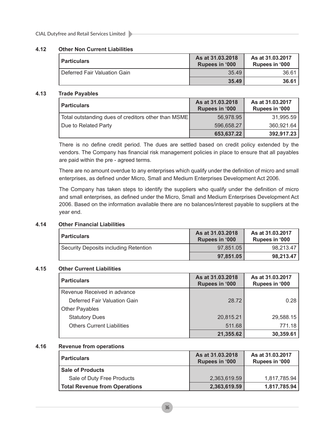## **4.12 Other Non Current Liabilities**

| <b>Particulars</b>           | As at 31.03.2018<br><b>Rupees in '000</b> | As at 31.03.2017<br>Rupees in '000 |
|------------------------------|-------------------------------------------|------------------------------------|
| Deferred Fair Valuation Gain | 35.49                                     | 36.61                              |
|                              | 35.49                                     | 36.61                              |

## **4.13 Trade Payables**

| <b>Particulars</b>                                  | As at 31.03.2018<br>Rupees in '000 | As at 31.03.2017<br>Rupees in '000 |
|-----------------------------------------------------|------------------------------------|------------------------------------|
| Total outstanding dues of creditors other than MSME | 56,978.95                          | 31,995.59                          |
| Due to Related Party                                | 596,658.27                         | 360,921.64                         |
|                                                     | 653,637.22                         | 392,917.23                         |

There is no define credit period. The dues are settled based on credit policy extended by the vendors. The Company has financial risk management policies in place to ensure that all payables are paid within the pre - agreed terms.

There are no amount overdue to any enterprises which qualify under the definition of micro and small enterprises, as defined under Micro, Small and Medium Enterprises Development Act 2006.

The Company has taken steps to identify the suppliers who qualify under the definition of micro and small enterprises, as defined under the Micro, Small and Medium Enterprises Development Act 2006. Based on the information available there are no balances/interest payable to suppliers at the year end.

## **4.14 Other Financial Liabilities**

| <b>Particulars</b>                    | As at 31.03.2018<br><b>Rupees in '000</b> | As at 31.03.2017<br><b>Rupees in '000</b> |
|---------------------------------------|-------------------------------------------|-------------------------------------------|
| Security Deposits including Retention | 97.851.05                                 | 98,213.47                                 |
|                                       | 97,851,05                                 | 98.213.47                                 |

## **4.15 Other Current Liabilities**

| <b>Particulars</b>                | As at 31.03.2018<br>Rupees in '000 | As at 31.03.2017<br>Rupees in '000 |
|-----------------------------------|------------------------------------|------------------------------------|
| Revenue Received in advance       |                                    |                                    |
| Deferred Fair Valuation Gain      | 28.72                              | 0.28                               |
| <b>Other Payables</b>             |                                    |                                    |
| <b>Statutory Dues</b>             | 20,815.21                          | 29,588.15                          |
| <b>Others Current Liabilities</b> | 511.68                             | 771.18                             |
|                                   | 21,355.62                          | 30,359.61                          |

## **4.16 Revenue from operations**

| <b>Particulars</b>                   | As at 31,03,2018<br>Rupees in '000 | As at 31.03.2017<br>Rupees in '000 |
|--------------------------------------|------------------------------------|------------------------------------|
| <b>Sale of Products</b>              |                                    |                                    |
| Sale of Duty Free Products           | 2,363,619.59                       | 1,817,785.94                       |
| <b>Total Revenue from Operations</b> | 2,363,619.59                       | 1,817,785.94                       |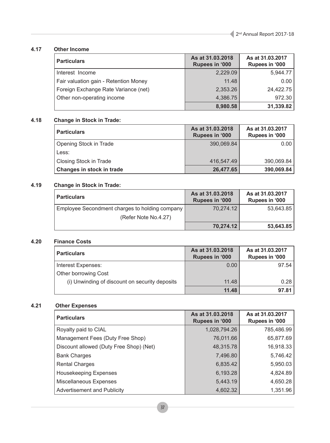## **4.17 Other Income**

| <b>Particulars</b>                    | As at 31.03.2018<br>Rupees in '000 | As at 31.03.2017<br>Rupees in '000 |
|---------------------------------------|------------------------------------|------------------------------------|
| Interest Income                       | 2,229.09                           | 5,944.77                           |
| Fair valuation gain - Retention Money | 11.48                              | 0.00                               |
| Foreign Exchange Rate Variance (net)  | 2,353.26                           | 24,422.75                          |
| Other non-operating income            | 4,386.75                           | 972.30                             |
|                                       | 8,980.58                           | 31,339.82                          |

## **4.18 Change in Stock in Trade:**

| <b>Particulars</b>            | As at 31,03,2018<br>Rupees in '000 | As at 31.03.2017<br>Rupees in '000 |
|-------------------------------|------------------------------------|------------------------------------|
| <b>Opening Stock in Trade</b> | 390,069.84                         | 0.00                               |
| Less:                         |                                    |                                    |
| Closing Stock in Trade        | 416,547.49                         | 390,069.84                         |
| Changes in stock in trade     | 26,477.65                          | 390,069.84                         |

## **4.19 Change in Stock in Trade:**

| <b>Particulars</b>                             | As at 31.03.2018<br>Rupees in '000 | As at 31.03.2017<br>Rupees in '000 |
|------------------------------------------------|------------------------------------|------------------------------------|
| Employee Secondment charges to holding company | 70.274.12                          | 53.643.85                          |
| (Refer Note No.4.27)                           |                                    |                                    |
|                                                | 70,274.12                          | 53,643.85                          |

## **4.20 Finance Costs**

| <b>Particulars</b>                             | As at 31.03.2018<br>Rupees in '000 | As at 31.03.2017<br>Rupees in '000 |
|------------------------------------------------|------------------------------------|------------------------------------|
| Interest Expenses:                             | 0.00                               | 97.54                              |
| Other borrowing Cost                           |                                    |                                    |
| (i) Unwinding of discount on security deposits | 11.48                              | 0.28                               |
|                                                | 11.48                              | 97.81                              |

## **4.21 Other Expenses**

| <b>Particulars</b>                      | As at 31.03.2018<br><b>Rupees in '000</b> | As at 31.03.2017<br>Rupees in '000 |
|-----------------------------------------|-------------------------------------------|------------------------------------|
| Royalty paid to CIAL                    | 1,028,794.26                              | 785,486.99                         |
| Management Fees (Duty Free Shop)        | 76,011.66                                 | 65,877.69                          |
| Discount allowed (Duty Free Shop) (Net) | 48,315.78                                 | 16,918.33                          |
| <b>Bank Charges</b>                     | 7,496.80                                  | 5,746.42                           |
| <b>Rental Charges</b>                   | 6,835.42                                  | 5,950.03                           |
| <b>Housekeeping Expenses</b>            | 6,193.28                                  | 4,824.89                           |
| Miscellaneous Expenses                  | 5,443.19                                  | 4,650.28                           |
| <b>Advertisement and Publicity</b>      | 4,602.32                                  | 1,351.96                           |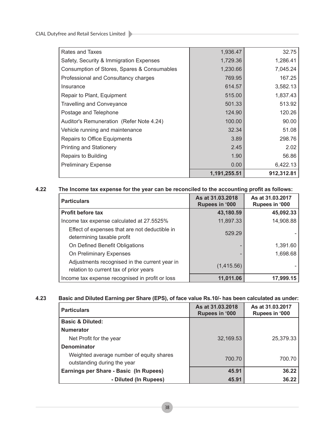CIAL Dutyfree and Retail Services Limited

|                                             | 1,191,255.51 | 912,312.81 |
|---------------------------------------------|--------------|------------|
| <b>Preliminary Expense</b>                  | 0.00         | 6,422.13   |
| Repairs to Building                         | 1.90         | 56.86      |
| <b>Printing and Stationery</b>              | 2.45         | 2.02       |
| Repairs to Office Equipments                | 3.89         | 298.76     |
| Vehicle running and maintenance             | 32.34        | 51.08      |
| Auditor's Remuneration (Refer Note 4.24)    | 100.00       | 90.00      |
| Postage and Telephone                       | 124.90       | 120.26     |
| <b>Travelling and Conveyance</b>            | 501.33       | 513.92     |
| Repair to Plant, Equipment                  | 515.00       | 1,837.43   |
| Insurance                                   | 614.57       | 3,582.13   |
| Professional and Consultancy charges        | 769.95       | 167.25     |
| Consumption of Stores, Spares & Consumables | 1,230.66     | 7,045.24   |
| Safety, Security & Immigration Expenses     | 1,729.36     | 1,286.41   |
| Rates and Taxes                             | 1,936.47     | 32.75      |

the control of the control of the control of

## **4.22 The Income tax expense for the year can be reconciled to the accounting profit as follows:**

| <b>Particulars</b>                                                                      | As at 31.03.2018<br><b>Rupees in '000</b> | As at 31.03.2017<br>Rupees in '000 |
|-----------------------------------------------------------------------------------------|-------------------------------------------|------------------------------------|
| <b>Profit before tax</b>                                                                | 43,180.59                                 | 45,092.33                          |
| Income tax expense calculated at 27.5525%                                               | 11,897.33                                 | 14,908.88                          |
| Effect of expenses that are not deductible in<br>determining taxable profit             | 529.29                                    |                                    |
| On Defined Benefit Obligations                                                          |                                           | 1,391.60                           |
| On Preliminary Expenses                                                                 |                                           | 1,698.68                           |
| Adjustments recognised in the current year in<br>relation to current tax of prior years | (1,415.56)                                |                                    |
| Income tax expense recognised in profit or loss                                         | 11.011.06                                 | 17,999.15                          |

## **4.23 Basic and Diluted Earning per Share (EPS), of face value Rs.10/- has been calculated as under:**

| <b>Particulars</b>                                                      | As at 31.03.2018<br><b>Rupees in '000</b> | As at 31.03.2017<br>Rupees in '000 |
|-------------------------------------------------------------------------|-------------------------------------------|------------------------------------|
| <b>Basic &amp; Diluted:</b>                                             |                                           |                                    |
| <b>Numerator</b>                                                        |                                           |                                    |
| Net Profit for the year                                                 | 32,169.53                                 | 25,379.33                          |
| Denominator                                                             |                                           |                                    |
| Weighted average number of equity shares<br>outstanding during the year | 700.70                                    | 700.70                             |
| Earnings per Share - Basic (In Rupees)                                  | 45.91                                     | 36.22                              |
| - Diluted (In Rupees)                                                   | 45.91                                     | 36.22                              |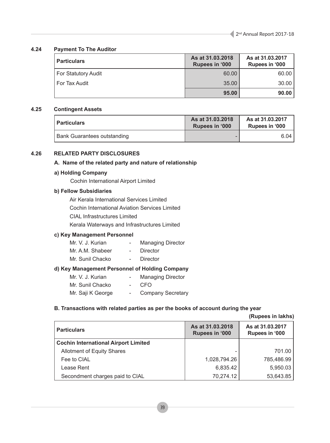## **4.24 Payment To The Auditor**

| <b>Particulars</b>  | As at 31,03,2018<br>Rupees in '000 | As at 31.03.2017<br>Rupees in '000 |
|---------------------|------------------------------------|------------------------------------|
| For Statutory Audit | 60.00                              | 60.00                              |
| For Tax Audit       | 35.00                              | 30.00                              |
|                     | 95.00                              | 90.00                              |

## **4.25 Contingent Assets**

| Particulars                        | As at 31.03.2018<br><b>Rupees in '000</b> | As at 31.03.2017<br><b>Rupees in '000</b> |
|------------------------------------|-------------------------------------------|-------------------------------------------|
| <b>Bank Guarantees outstanding</b> |                                           | 6.04 l                                    |

## **4.26 RELATED PARTY DISCLOSURES**

## **A. Name of the related party and nature of relationship**

## **a) Holding Company**

Cochin International Airport Limited

## **b) Fellow Subsidiaries**

Air Kerala International Services Limited Cochin International Aviation Services Limited CIAL Infrastructures Limited Kerala Waterways and Infrastructures Limited

## **c) Key Management Personnel**

| Mr. V. J. Kurian | $\sim$ | <b>Managing Director</b> |
|------------------|--------|--------------------------|
| Mr. A.M. Shabeer |        | Director                 |
| Mr. Sunil Chacko |        | Director                 |

## **d) Key Management Personnel of Holding Company**

| Mr. V. J. Kurian  |                 | <b>Managing Director</b> |
|-------------------|-----------------|--------------------------|
| Mr. Sunil Chacko  | $\sim$ 10 $\pm$ | -CEO                     |
| Mr. Saji K George |                 | <b>Company Secretary</b> |

## **B. Transactions with related parties as per the books of account during the year**

**(Rupees in lakhs)**

| <b>Particulars</b>                          | As at 31.03.2018<br>Rupees in '000 | As at 31.03.2017<br>Rupees in '000 |
|---------------------------------------------|------------------------------------|------------------------------------|
| <b>Cochin International Airport Limited</b> |                                    |                                    |
| <b>Allotment of Equity Shares</b>           |                                    | 701.00                             |
| Fee to CIAL                                 | 1,028,794.26                       | 785,486.99                         |
| Lease Rent                                  | 6,835.42                           | 5,950.03                           |
| Secondment charges paid to CIAL             | 70,274.12                          | 53,643.85                          |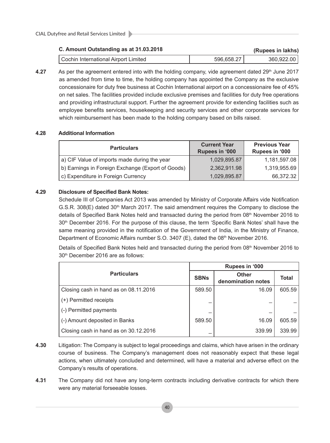## **C. Amount Outstanding as at 31.03.2018 (Rupees in lakhs)**

| Cochin International Airport Limited | 596.658.27 | 360,922.00 |
|--------------------------------------|------------|------------|

**4.27** As per the agreement entered into with the holding company, vide agreement dated 29<sup>th</sup> June 2017 as amended from time to time, the holding company has appointed the Company as the exclusive concessionaire for duty free business at Cochin International airport on a concessionaire fee of 45% on net sales. The facilities provided include exclusive premises and facilities for duty free operations and providing infrastructural support. Further the agreement provide for extending facilities such as employee benefits services, housekeeping and security services and other corporate services for which reimbursement has been made to the holding company based on bills raised.

## **4.28 Additional Information**

| <b>Particulars</b>                                | <b>Current Year</b><br>Rupees in '000 | <b>Previous Year</b><br>Rupees in '000 |
|---------------------------------------------------|---------------------------------------|----------------------------------------|
| a) CIF Value of imports made during the year      | 1,029,895.87                          | 1,181,597.08                           |
| b) Earnings in Foreign Exchange (Export of Goods) | 2,362,911.98                          | 1,319,955.69                           |
| c) Expenditure in Foreign Currency                | 1,029,895.87                          | 66,372.32                              |

## **4.29 Disclosure of Specified Bank Notes:**

Schedule III of Companies Act 2013 was amended by Ministry of Corporate Affairs vide Notification G.S.R. 308(E) dated  $30<sup>th</sup>$  March 2017. The said amendment requires the Company to disclose the details of Specified Bank Notes held and transacted during the period from 08th November 2016 to 30th December 2016. For the purpose of this clause, the term 'Specific Bank Notes' shall have the same meaning provided in the notification of the Government of India, in the Ministry of Finance, Department of Economic Affairs number S.O. 3407 (E), dated the 08<sup>th</sup> November 2016.

Details of Specified Bank Notes held and transacted during the period from 08th November 2016 to 30th December 2016 are as follows:

|                                       | Rupees in '000 |                                    |              |  |
|---------------------------------------|----------------|------------------------------------|--------------|--|
| <b>Particulars</b>                    | <b>SBNs</b>    | <b>Other</b><br>denomination notes | <b>Total</b> |  |
| Closing cash in hand as on 08.11.2016 | 589.50         | 16.09                              | 605.59       |  |
| (+) Permitted receipts                |                |                                    |              |  |
| (-) Permitted payments                |                |                                    |              |  |
| (-) Amount deposited in Banks         | 589.50         | 16.09                              | 605.59       |  |
| Closing cash in hand as on 30.12.2016 |                | 339.99                             | 339.99       |  |

- **4.30** Litigation: The Company is subject to legal proceedings and claims, which have arisen in the ordinary course of business. The Company's management does not reasonably expect that these legal actions, when ultimately concluded and determined, will have a material and adverse effect on the Company's results of operations.
- **4.31** The Company did not have any long-term contracts including derivative contracts for which there were any material forseeable losses.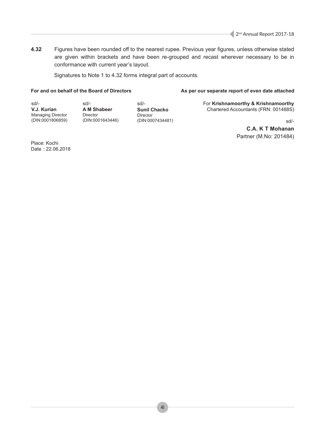**4.32** Figures have been rounded off to the nearest rupee. Previous year figures, unless otherwise stated are given within brackets and have been re-grouped and recast wherever necessary to be in conformance with current year's layout.

Signatures to Note 1 to 4.32 forms integral part of accounts.

## For and on behalf of the Board of Directors **As per our separate report of even date attached**

sd/- **V.J. Kurian** Managing Director (DIN:0001806859) sd/- **A M Shabeer** Director (DIN:0001643446)

sd/- **Sunil Chacko** Director (DIN:0007434481) For **Krishnamoorthy & Krishnamoorthy** Chartered Accountants (FRN: 001488S)

sd/-

**C.A. K T Mohanan** Partner (M.No: 201484)

Place: Kochi Date : 22.06.2018